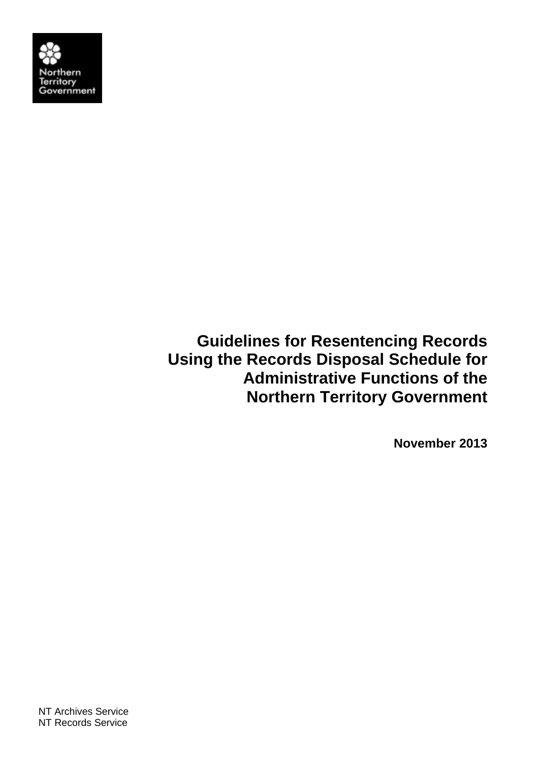

**Guidelines for Resentencing Records Using the Records Disposal Schedule for Administrative Functions of the Northern Territory Government** 

**November 2013**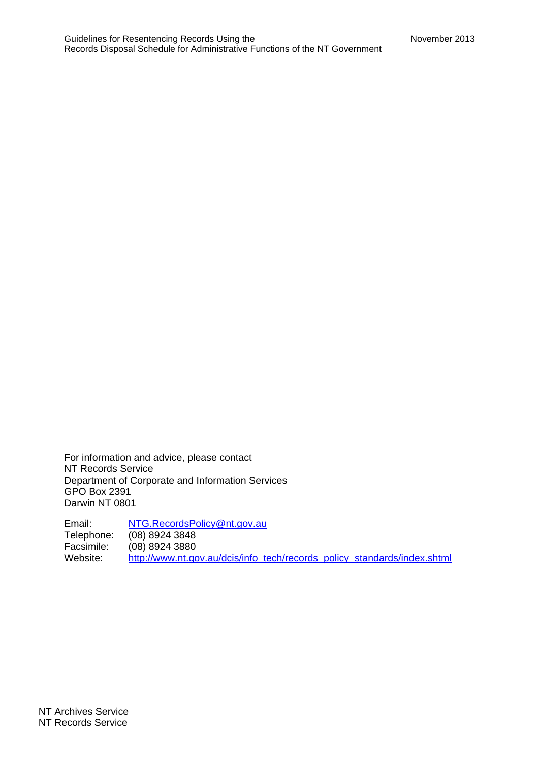For information and advice, please contact NT Records Service Department of Corporate and Information Services GPO Box 2391 Darwin NT 0801

Email: NTG.RecordsPolicy@nt.gov.au Telephone: (08) 8924 3848 Facsimile: (08) 8924 3880<br>Website: http://www.nt.go http://www.nt.gov.au/dcis/info\_tech/records\_policy\_standards/index.shtml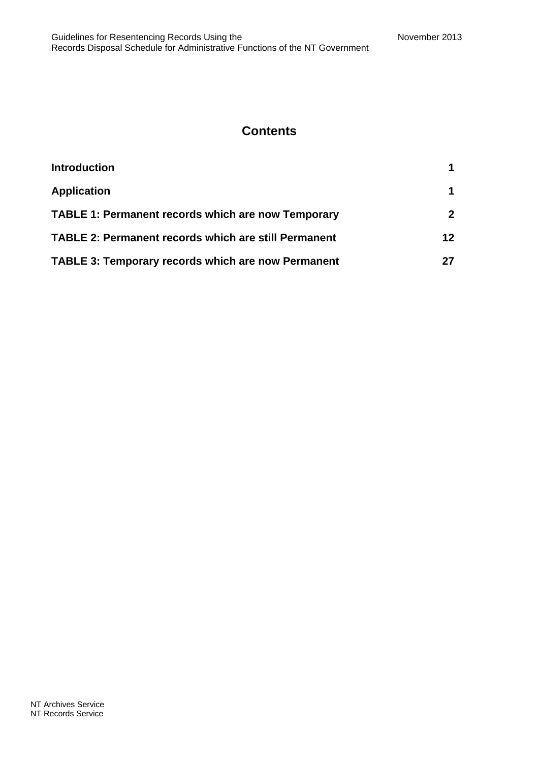#### **Contents**

| <b>Introduction</b>                                         |                 |
|-------------------------------------------------------------|-----------------|
| <b>Application</b>                                          |                 |
| <b>TABLE 1: Permanent records which are now Temporary</b>   | 2 <sup>1</sup>  |
| <b>TABLE 2: Permanent records which are still Permanent</b> | 12 <sup>1</sup> |
| <b>TABLE 3: Temporary records which are now Permanent</b>   |                 |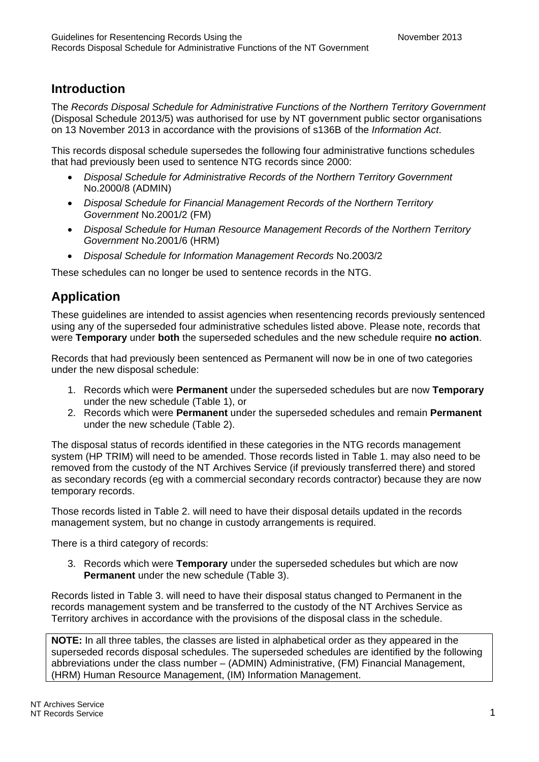### **Introduction**

The *Records Disposal Schedule for Administrative Functions of the Northern Territory Government* (Disposal Schedule 2013/5) was authorised for use by NT government public sector organisations on 13 November 2013 in accordance with the provisions of s136B of the *Information Act*.

This records disposal schedule supersedes the following four administrative functions schedules that had previously been used to sentence NTG records since 2000:

- *Disposal Schedule for Administrative Records of the Northern Territory Government* No.2000/8 (ADMIN)
- *Disposal Schedule for Financial Management Records of the Northern Territory Government* No.2001/2 (FM)
- *Disposal Schedule for Human Resource Management Records of the Northern Territory Government* No.2001/6 (HRM)
- *Disposal Schedule for Information Management Records* No.2003/2

These schedules can no longer be used to sentence records in the NTG.

### **Application**

These guidelines are intended to assist agencies when resentencing records previously sentenced using any of the superseded four administrative schedules listed above. Please note, records that were **Temporary** under **both** the superseded schedules and the new schedule require **no action**.

Records that had previously been sentenced as Permanent will now be in one of two categories under the new disposal schedule:

- 1. Records which were **Permanent** under the superseded schedules but are now **Temporary** under the new schedule (Table 1), or
- 2. Records which were **Permanent** under the superseded schedules and remain **Permanent** under the new schedule (Table 2).

The disposal status of records identified in these categories in the NTG records management system (HP TRIM) will need to be amended. Those records listed in Table 1. may also need to be removed from the custody of the NT Archives Service (if previously transferred there) and stored as secondary records (eg with a commercial secondary records contractor) because they are now temporary records.

Those records listed in Table 2. will need to have their disposal details updated in the records management system, but no change in custody arrangements is required.

There is a third category of records:

3. Records which were **Temporary** under the superseded schedules but which are now **Permanent** under the new schedule (Table 3).

Records listed in Table 3. will need to have their disposal status changed to Permanent in the records management system and be transferred to the custody of the NT Archives Service as Territory archives in accordance with the provisions of the disposal class in the schedule.

**NOTE:** In all three tables, the classes are listed in alphabetical order as they appeared in the superseded records disposal schedules. The superseded schedules are identified by the following abbreviations under the class number – (ADMIN) Administrative, (FM) Financial Management, (HRM) Human Resource Management, (IM) Information Management.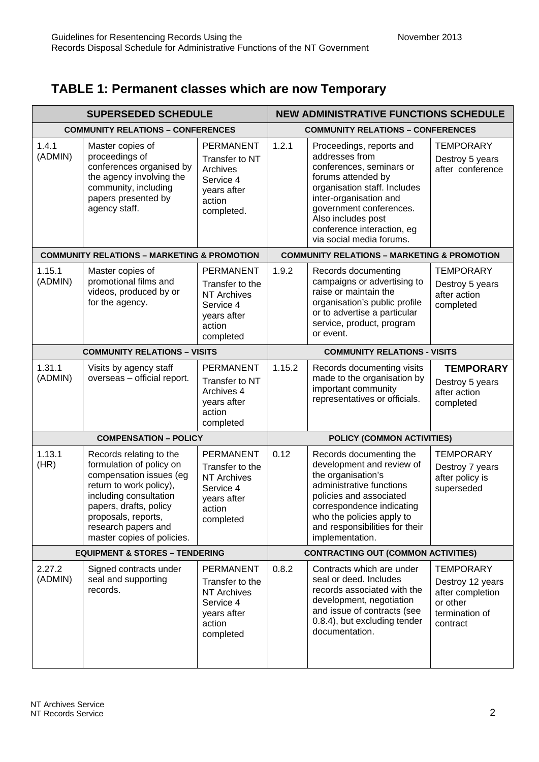# **TABLE 1: Permanent classes which are now Temporary**

| <b>SUPERSEDED SCHEDULE</b> |                                                                                                                                                                                                                                           | <b>NEW ADMINISTRATIVE FUNCTIONS SCHEDULE</b>                                                                 |                                          |                                                                                                                                                                                                                                                                   |                                                                                                    |
|----------------------------|-------------------------------------------------------------------------------------------------------------------------------------------------------------------------------------------------------------------------------------------|--------------------------------------------------------------------------------------------------------------|------------------------------------------|-------------------------------------------------------------------------------------------------------------------------------------------------------------------------------------------------------------------------------------------------------------------|----------------------------------------------------------------------------------------------------|
|                            | <b>COMMUNITY RELATIONS - CONFERENCES</b>                                                                                                                                                                                                  |                                                                                                              | <b>COMMUNITY RELATIONS - CONFERENCES</b> |                                                                                                                                                                                                                                                                   |                                                                                                    |
| 1.4.1<br>(ADMIN)           | Master copies of<br>proceedings of<br>conferences organised by<br>the agency involving the<br>community, including<br>papers presented by<br>agency staff.                                                                                | <b>PERMANENT</b><br>Transfer to NT<br>Archives<br>Service 4<br>years after<br>action<br>completed.           | 1.2.1                                    | Proceedings, reports and<br>addresses from<br>conferences, seminars or<br>forums attended by<br>organisation staff. Includes<br>inter-organisation and<br>government conferences.<br>Also includes post<br>conference interaction, eg<br>via social media forums. | <b>TEMPORARY</b><br>Destroy 5 years<br>after conference                                            |
|                            | <b>COMMUNITY RELATIONS - MARKETING &amp; PROMOTION</b>                                                                                                                                                                                    |                                                                                                              |                                          | <b>COMMUNITY RELATIONS - MARKETING &amp; PROMOTION</b>                                                                                                                                                                                                            |                                                                                                    |
| 1.15.1<br>(ADMIN)          | Master copies of<br>promotional films and<br>videos, produced by or<br>for the agency.                                                                                                                                                    | <b>PERMANENT</b><br>Transfer to the<br><b>NT Archives</b><br>Service 4<br>years after<br>action<br>completed | 1.9.2                                    | Records documenting<br>campaigns or advertising to<br>raise or maintain the<br>organisation's public profile<br>or to advertise a particular<br>service, product, program<br>or event.                                                                            | <b>TEMPORARY</b><br>Destroy 5 years<br>after action<br>completed                                   |
|                            | <b>COMMUNITY RELATIONS - VISITS</b>                                                                                                                                                                                                       |                                                                                                              | <b>COMMUNITY RELATIONS - VISITS</b>      |                                                                                                                                                                                                                                                                   |                                                                                                    |
| 1.31.1<br>(ADMIN)          | Visits by agency staff<br>overseas - official report.                                                                                                                                                                                     | <b>PERMANENT</b><br>Transfer to NT<br>Archives 4<br>years after<br>action<br>completed                       | 1.15.2                                   | Records documenting visits<br>made to the organisation by<br>important community<br>representatives or officials.                                                                                                                                                 | <b>TEMPORARY</b><br>Destroy 5 years<br>after action<br>completed                                   |
|                            | <b>COMPENSATION - POLICY</b>                                                                                                                                                                                                              |                                                                                                              | POLICY (COMMON ACTIVITIES)               |                                                                                                                                                                                                                                                                   |                                                                                                    |
| 1.13.1<br>(HR)             | Records relating to the<br>formulation of policy on<br>compensation issues (eg<br>return to work policy),<br>including consultation<br>papers, drafts, policy<br>proposals, reports,<br>research papers and<br>master copies of policies. | <b>PERMANENT</b><br>Transfer to the<br><b>NT Archives</b><br>Service 4<br>years after<br>action<br>completed | 0.12                                     | Records documenting the<br>development and review of<br>the organisation's<br>administrative functions<br>policies and associated<br>correspondence indicating<br>who the policies apply to<br>and responsibilities for their<br>implementation.                  | <b>TEMPORARY</b><br>Destroy 7 years<br>after policy is<br>superseded                               |
|                            | <b>EQUIPMENT &amp; STORES - TENDERING</b>                                                                                                                                                                                                 |                                                                                                              |                                          | <b>CONTRACTING OUT (COMMON ACTIVITIES)</b>                                                                                                                                                                                                                        |                                                                                                    |
| 2.27.2<br>(ADMIN)          | Signed contracts under<br>seal and supporting<br>records.                                                                                                                                                                                 | PERMANENT<br>Transfer to the<br><b>NT Archives</b><br>Service 4<br>years after<br>action<br>completed        | 0.8.2                                    | Contracts which are under<br>seal or deed. Includes<br>records associated with the<br>development, negotiation<br>and issue of contracts (see<br>0.8.4), but excluding tender<br>documentation.                                                                   | <b>TEMPORARY</b><br>Destroy 12 years<br>after completion<br>or other<br>termination of<br>contract |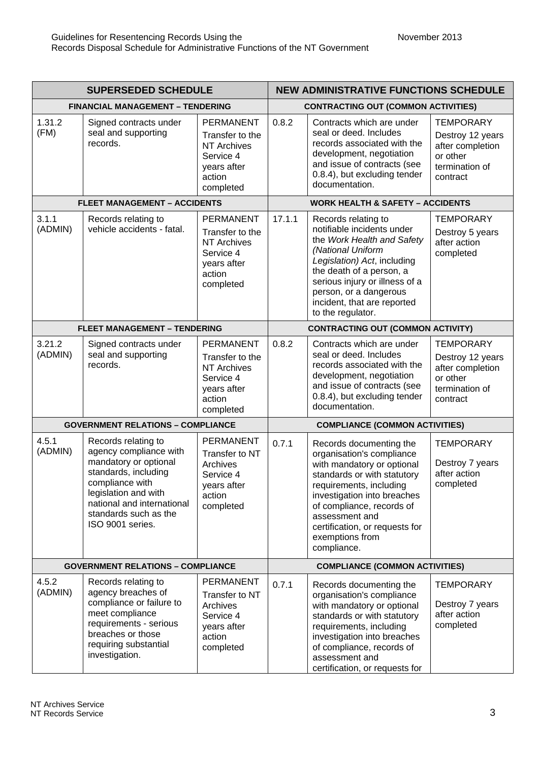| <b>SUPERSEDED SCHEDULE</b> |                                                                                                                                                                                                                      | <b>NEW ADMINISTRATIVE FUNCTIONS SCHEDULE</b>                                                                 |                                       |                                                                                                                                                                                                                                                                                                |                                                                                                    |  |
|----------------------------|----------------------------------------------------------------------------------------------------------------------------------------------------------------------------------------------------------------------|--------------------------------------------------------------------------------------------------------------|---------------------------------------|------------------------------------------------------------------------------------------------------------------------------------------------------------------------------------------------------------------------------------------------------------------------------------------------|----------------------------------------------------------------------------------------------------|--|
|                            | <b>FINANCIAL MANAGEMENT - TENDERING</b>                                                                                                                                                                              |                                                                                                              |                                       | <b>CONTRACTING OUT (COMMON ACTIVITIES)</b>                                                                                                                                                                                                                                                     |                                                                                                    |  |
| 1.31.2<br>(FM)             | Signed contracts under<br>seal and supporting<br>records.                                                                                                                                                            | <b>PERMANENT</b><br>Transfer to the<br><b>NT Archives</b><br>Service 4<br>years after<br>action<br>completed | 0.8.2                                 | Contracts which are under<br>seal or deed. Includes<br>records associated with the<br>development, negotiation<br>and issue of contracts (see<br>0.8.4), but excluding tender<br>documentation.                                                                                                | <b>TEMPORARY</b><br>Destroy 12 years<br>after completion<br>or other<br>termination of<br>contract |  |
|                            | <b>FLEET MANAGEMENT - ACCIDENTS</b>                                                                                                                                                                                  |                                                                                                              |                                       | <b>WORK HEALTH &amp; SAFETY - ACCIDENTS</b>                                                                                                                                                                                                                                                    |                                                                                                    |  |
| 3.1.1<br>(ADMIN)           | Records relating to<br>vehicle accidents - fatal.                                                                                                                                                                    | <b>PERMANENT</b><br>Transfer to the<br><b>NT Archives</b><br>Service 4<br>years after<br>action<br>completed | 17.1.1                                | Records relating to<br>notifiable incidents under<br>the Work Health and Safety<br>(National Uniform<br>Legislation) Act, including<br>the death of a person, a<br>serious injury or illness of a<br>person, or a dangerous<br>incident, that are reported<br>to the regulator.                | <b>TEMPORARY</b><br>Destroy 5 years<br>after action<br>completed                                   |  |
|                            | <b>FLEET MANAGEMENT - TENDERING</b>                                                                                                                                                                                  |                                                                                                              |                                       | <b>CONTRACTING OUT (COMMON ACTIVITY)</b>                                                                                                                                                                                                                                                       |                                                                                                    |  |
| 3.21.2<br>(ADMIN)          | Signed contracts under<br>seal and supporting<br>records.                                                                                                                                                            | <b>PERMANENT</b><br>Transfer to the<br><b>NT Archives</b><br>Service 4<br>years after<br>action<br>completed | 0.8.2                                 | Contracts which are under<br>seal or deed. Includes<br>records associated with the<br>development, negotiation<br>and issue of contracts (see<br>0.8.4), but excluding tender<br>documentation.                                                                                                | <b>TEMPORARY</b><br>Destroy 12 years<br>after completion<br>or other<br>termination of<br>contract |  |
|                            | <b>GOVERNMENT RELATIONS - COMPLIANCE</b>                                                                                                                                                                             |                                                                                                              | <b>COMPLIANCE (COMMON ACTIVITIES)</b> |                                                                                                                                                                                                                                                                                                |                                                                                                    |  |
| 4.5.1<br>(ADMIN)           | Records relating to<br>agency compliance with<br>mandatory or optional<br>standards, including<br>compliance with<br>legislation and with<br>national and international<br>standards such as the<br>ISO 9001 series. | <b>PERMANENT</b><br>Transfer to NT<br>Archives<br>Service 4<br>years after<br>action<br>completed            | 0.7.1                                 | Records documenting the<br>organisation's compliance<br>with mandatory or optional<br>standards or with statutory<br>requirements, including<br>investigation into breaches<br>of compliance, records of<br>assessment and<br>certification, or requests for<br>exemptions from<br>compliance. | <b>TEMPORARY</b><br>Destroy 7 years<br>after action<br>completed                                   |  |
|                            | <b>GOVERNMENT RELATIONS - COMPLIANCE</b>                                                                                                                                                                             |                                                                                                              |                                       | <b>COMPLIANCE (COMMON ACTIVITIES)</b>                                                                                                                                                                                                                                                          |                                                                                                    |  |
| 4.5.2<br>(ADMIN)           | Records relating to<br>agency breaches of<br>compliance or failure to<br>meet compliance<br>requirements - serious<br>breaches or those<br>requiring substantial<br>investigation.                                   | <b>PERMANENT</b><br>Transfer to NT<br>Archives<br>Service 4<br>years after<br>action<br>completed            | 0.7.1                                 | Records documenting the<br>organisation's compliance<br>with mandatory or optional<br>standards or with statutory<br>requirements, including<br>investigation into breaches<br>of compliance, records of<br>assessment and<br>certification, or requests for                                   | <b>TEMPORARY</b><br>Destroy 7 years<br>after action<br>completed                                   |  |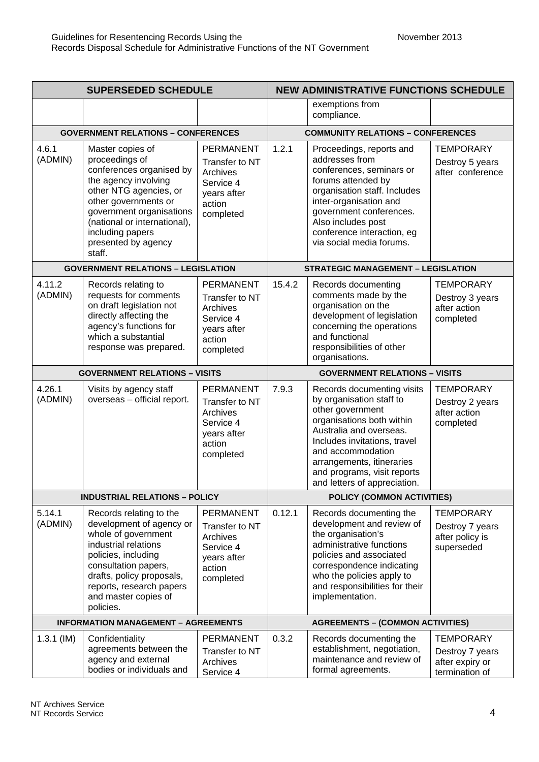| <b>SUPERSEDED SCHEDULE</b>                 |                                                                                                                                                                                                                                                           | <b>NEW ADMINISTRATIVE FUNCTIONS SCHEDULE</b>                                                      |                                         |                                                                                                                                                                                                                                                                                     |                                                                          |  |
|--------------------------------------------|-----------------------------------------------------------------------------------------------------------------------------------------------------------------------------------------------------------------------------------------------------------|---------------------------------------------------------------------------------------------------|-----------------------------------------|-------------------------------------------------------------------------------------------------------------------------------------------------------------------------------------------------------------------------------------------------------------------------------------|--------------------------------------------------------------------------|--|
|                                            |                                                                                                                                                                                                                                                           |                                                                                                   |                                         | exemptions from<br>compliance.                                                                                                                                                                                                                                                      |                                                                          |  |
|                                            | <b>GOVERNMENT RELATIONS - CONFERENCES</b>                                                                                                                                                                                                                 |                                                                                                   |                                         | <b>COMMUNITY RELATIONS - CONFERENCES</b>                                                                                                                                                                                                                                            |                                                                          |  |
| 4.6.1<br>(ADMIN)                           | Master copies of<br>proceedings of<br>conferences organised by<br>the agency involving<br>other NTG agencies, or<br>other governments or<br>government organisations<br>(national or international),<br>including papers<br>presented by agency<br>staff. | <b>PERMANENT</b><br>Transfer to NT<br>Archives<br>Service 4<br>years after<br>action<br>completed | 1.2.1                                   | Proceedings, reports and<br>addresses from<br>conferences, seminars or<br>forums attended by<br>organisation staff. Includes<br>inter-organisation and<br>government conferences.<br>Also includes post<br>conference interaction, eg<br>via social media forums.                   | <b>TEMPORARY</b><br>Destroy 5 years<br>after conference                  |  |
|                                            | <b>GOVERNMENT RELATIONS - LEGISLATION</b>                                                                                                                                                                                                                 |                                                                                                   |                                         | <b>STRATEGIC MANAGEMENT - LEGISLATION</b>                                                                                                                                                                                                                                           |                                                                          |  |
| 4.11.2<br>(ADMIN)                          | Records relating to<br>requests for comments<br>on draft legislation not<br>directly affecting the<br>agency's functions for<br>which a substantial<br>response was prepared.                                                                             | <b>PERMANENT</b><br>Transfer to NT<br>Archives<br>Service 4<br>years after<br>action<br>completed | 15.4.2                                  | Records documenting<br>comments made by the<br>organisation on the<br>development of legislation<br>concerning the operations<br>and functional<br>responsibilities of other<br>organisations.                                                                                      | <b>TEMPORARY</b><br>Destroy 3 years<br>after action<br>completed         |  |
|                                            | <b>GOVERNMENT RELATIONS - VISITS</b>                                                                                                                                                                                                                      |                                                                                                   | <b>GOVERNMENT RELATIONS - VISITS</b>    |                                                                                                                                                                                                                                                                                     |                                                                          |  |
| 4.26.1<br>(ADMIN)                          | Visits by agency staff<br>overseas - official report.                                                                                                                                                                                                     | PERMANENT<br>Transfer to NT<br>Archives<br>Service 4<br>years after<br>action<br>completed        | 7.9.3                                   | Records documenting visits<br>by organisation staff to<br>other government<br>organisations both within<br>Australia and overseas.<br>Includes invitations, travel<br>and accommodation<br>arrangements, itineraries<br>and programs, visit reports<br>and letters of appreciation. | <b>TEMPORARY</b><br>Destroy 2 years<br>after action<br>completed         |  |
|                                            | <b>INDUSTRIAL RELATIONS - POLICY</b>                                                                                                                                                                                                                      |                                                                                                   |                                         | POLICY (COMMON ACTIVITIES)                                                                                                                                                                                                                                                          |                                                                          |  |
| 5.14.1<br>(ADMIN)                          | Records relating to the<br>development of agency or<br>whole of government<br>industrial relations<br>policies, including<br>consultation papers,<br>drafts, policy proposals,<br>reports, research papers<br>and master copies of<br>policies.           | <b>PERMANENT</b><br>Transfer to NT<br>Archives<br>Service 4<br>years after<br>action<br>completed | 0.12.1                                  | Records documenting the<br>development and review of<br>the organisation's<br>administrative functions<br>policies and associated<br>correspondence indicating<br>who the policies apply to<br>and responsibilities for their<br>implementation.                                    | <b>TEMPORARY</b><br>Destroy 7 years<br>after policy is<br>superseded     |  |
| <b>INFORMATION MANAGEMENT - AGREEMENTS</b> |                                                                                                                                                                                                                                                           |                                                                                                   | <b>AGREEMENTS - (COMMON ACTIVITIES)</b> |                                                                                                                                                                                                                                                                                     |                                                                          |  |
| $1.3.1$ (IM)                               | Confidentiality<br>agreements between the<br>agency and external<br>bodies or individuals and                                                                                                                                                             | PERMANENT<br>Transfer to NT<br>Archives<br>Service 4                                              | 0.3.2                                   | Records documenting the<br>establishment, negotiation,<br>maintenance and review of<br>formal agreements.                                                                                                                                                                           | <b>TEMPORARY</b><br>Destroy 7 years<br>after expiry or<br>termination of |  |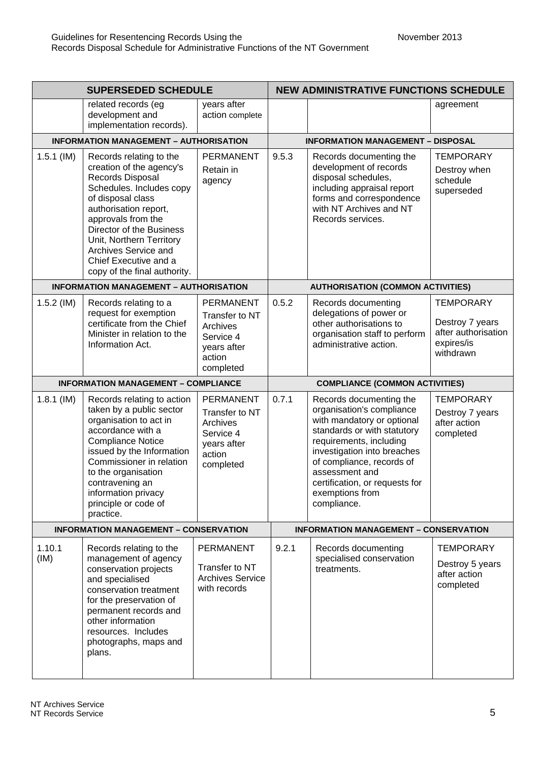| <b>SUPERSEDED SCHEDULE</b> |                                                                                                                                                                                                                                                                                                                  | <b>NEW ADMINISTRATIVE FUNCTIONS SCHEDULE</b>                                                      |                                       |                                                                                                                                                                                                                                                                                                |                                                                                       |  |
|----------------------------|------------------------------------------------------------------------------------------------------------------------------------------------------------------------------------------------------------------------------------------------------------------------------------------------------------------|---------------------------------------------------------------------------------------------------|---------------------------------------|------------------------------------------------------------------------------------------------------------------------------------------------------------------------------------------------------------------------------------------------------------------------------------------------|---------------------------------------------------------------------------------------|--|
|                            | related records (eg<br>development and<br>implementation records).                                                                                                                                                                                                                                               | years after<br>action complete                                                                    |                                       |                                                                                                                                                                                                                                                                                                | agreement                                                                             |  |
|                            | <b>INFORMATION MANAGEMENT - AUTHORISATION</b>                                                                                                                                                                                                                                                                    |                                                                                                   |                                       | <b>INFORMATION MANAGEMENT - DISPOSAL</b>                                                                                                                                                                                                                                                       |                                                                                       |  |
| $1.5.1$ (IM)               | Records relating to the<br>creation of the agency's<br>Records Disposal<br>Schedules. Includes copy<br>of disposal class<br>authorisation report,<br>approvals from the<br>Director of the Business<br>Unit, Northern Territory<br>Archives Service and<br>Chief Executive and a<br>copy of the final authority. | <b>PERMANENT</b><br>Retain in<br>agency                                                           | 9.5.3                                 | Records documenting the<br>development of records<br>disposal schedules,<br>including appraisal report<br>forms and correspondence<br>with NT Archives and NT<br>Records services.                                                                                                             | <b>TEMPORARY</b><br>Destroy when<br>schedule<br>superseded                            |  |
|                            | <b>INFORMATION MANAGEMENT - AUTHORISATION</b>                                                                                                                                                                                                                                                                    |                                                                                                   |                                       | <b>AUTHORISATION (COMMON ACTIVITIES)</b>                                                                                                                                                                                                                                                       |                                                                                       |  |
| $1.5.2$ (IM)               | Records relating to a<br>request for exemption<br>certificate from the Chief<br>Minister in relation to the<br>Information Act.                                                                                                                                                                                  | <b>PERMANENT</b><br>Transfer to NT<br>Archives<br>Service 4<br>years after<br>action<br>completed | 0.5.2                                 | Records documenting<br>delegations of power or<br>other authorisations to<br>organisation staff to perform<br>administrative action.                                                                                                                                                           | <b>TEMPORARY</b><br>Destroy 7 years<br>after authorisation<br>expires/is<br>withdrawn |  |
|                            | <b>INFORMATION MANAGEMENT - COMPLIANCE</b>                                                                                                                                                                                                                                                                       |                                                                                                   | <b>COMPLIANCE (COMMON ACTIVITIES)</b> |                                                                                                                                                                                                                                                                                                |                                                                                       |  |
| $1.8.1$ (IM)               | Records relating to action<br>taken by a public sector<br>organisation to act in<br>accordance with a<br><b>Compliance Notice</b><br>issued by the Information<br>Commissioner in relation<br>to the organisation<br>contravening an<br>information privacy<br>principle or code of<br>practice.                 | <b>PERMANENT</b><br>Transfer to NT<br>Archives<br>Service 4<br>years after<br>action<br>completed | 0.7.1                                 | Records documenting the<br>organisation's compliance<br>with mandatory or optional<br>standards or with statutory<br>requirements, including<br>investigation into breaches<br>of compliance, records of<br>assessment and<br>certification, or requests for<br>exemptions from<br>compliance. | <b>TEMPORARY</b><br>Destroy 7 years<br>after action<br>completed                      |  |
|                            | <b>INFORMATION MANAGEMENT - CONSERVATION</b>                                                                                                                                                                                                                                                                     |                                                                                                   |                                       | <b>INFORMATION MANAGEMENT - CONSERVATION</b>                                                                                                                                                                                                                                                   |                                                                                       |  |
| 1.10.1<br>(IM)             | Records relating to the<br>management of agency<br>conservation projects<br>and specialised<br>conservation treatment<br>for the preservation of<br>permanent records and<br>other information<br>resources. Includes<br>photographs, maps and<br>plans.                                                         | <b>PERMANENT</b><br>Transfer to NT<br><b>Archives Service</b><br>with records                     | 9.2.1                                 | Records documenting<br>specialised conservation<br>treatments.                                                                                                                                                                                                                                 | <b>TEMPORARY</b><br>Destroy 5 years<br>after action<br>completed                      |  |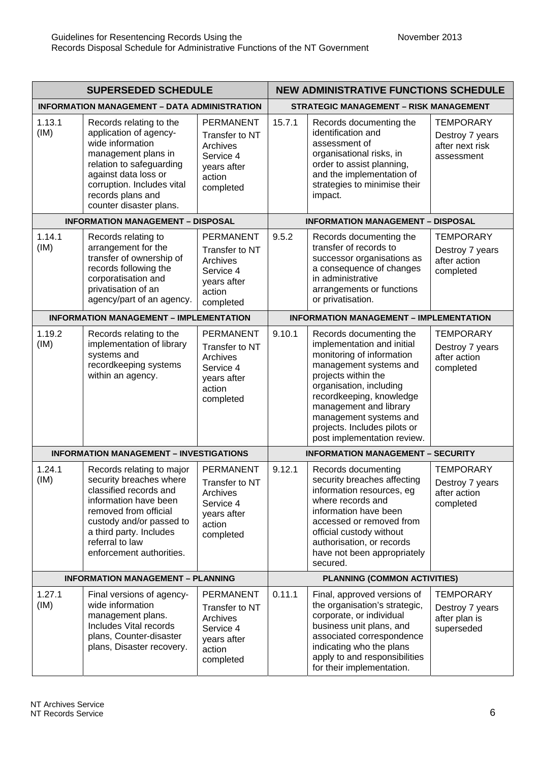| <b>SUPERSEDED SCHEDULE</b> |                                                                                                                                                                                                                                        | <b>NEW ADMINISTRATIVE FUNCTIONS SCHEDULE</b>                                                      |                                          |                                                                                                                                                                                                                                                                                                               |                                                                      |  |
|----------------------------|----------------------------------------------------------------------------------------------------------------------------------------------------------------------------------------------------------------------------------------|---------------------------------------------------------------------------------------------------|------------------------------------------|---------------------------------------------------------------------------------------------------------------------------------------------------------------------------------------------------------------------------------------------------------------------------------------------------------------|----------------------------------------------------------------------|--|
|                            | <b>INFORMATION MANAGEMENT - DATA ADMINISTRATION</b>                                                                                                                                                                                    |                                                                                                   |                                          | <b>STRATEGIC MANAGEMENT - RISK MANAGEMENT</b>                                                                                                                                                                                                                                                                 |                                                                      |  |
| 1.13.1<br>(IM)             | Records relating to the<br>application of agency-<br>wide information<br>management plans in<br>relation to safeguarding<br>against data loss or<br>corruption. Includes vital<br>records plans and<br>counter disaster plans.         | <b>PERMANENT</b><br>Transfer to NT<br>Archives<br>Service 4<br>years after<br>action<br>completed | 15.7.1                                   | Records documenting the<br>identification and<br>assessment of<br>organisational risks, in<br>order to assist planning,<br>and the implementation of<br>strategies to minimise their<br>impact.                                                                                                               | <b>TEMPORARY</b><br>Destroy 7 years<br>after next risk<br>assessment |  |
|                            | <b>INFORMATION MANAGEMENT - DISPOSAL</b>                                                                                                                                                                                               |                                                                                                   |                                          | <b>INFORMATION MANAGEMENT - DISPOSAL</b>                                                                                                                                                                                                                                                                      |                                                                      |  |
| 1.14.1<br>(IM)             | Records relating to<br>arrangement for the<br>transfer of ownership of<br>records following the<br>corporatisation and<br>privatisation of an<br>agency/part of an agency.                                                             | <b>PERMANENT</b><br>Transfer to NT<br>Archives<br>Service 4<br>years after<br>action<br>completed | 9.5.2                                    | Records documenting the<br>transfer of records to<br>successor organisations as<br>a consequence of changes<br>in administrative<br>arrangements or functions<br>or privatisation.                                                                                                                            | <b>TEMPORARY</b><br>Destroy 7 years<br>after action<br>completed     |  |
|                            | <b>INFORMATION MANAGEMENT - IMPLEMENTATION</b>                                                                                                                                                                                         |                                                                                                   |                                          | <b>INFORMATION MANAGEMENT - IMPLEMENTATION</b>                                                                                                                                                                                                                                                                |                                                                      |  |
| 1.19.2<br>(IM)             | Records relating to the<br>implementation of library<br>systems and<br>recordkeeping systems<br>within an agency.                                                                                                                      | <b>PERMANENT</b><br>Transfer to NT<br>Archives<br>Service 4<br>years after<br>action<br>completed | 9.10.1                                   | Records documenting the<br>implementation and initial<br>monitoring of information<br>management systems and<br>projects within the<br>organisation, including<br>recordkeeping, knowledge<br>management and library<br>management systems and<br>projects. Includes pilots or<br>post implementation review. | <b>TEMPORARY</b><br>Destroy 7 years<br>after action<br>completed     |  |
|                            | <b>INFORMATION MANAGEMENT - INVESTIGATIONS</b>                                                                                                                                                                                         |                                                                                                   | <b>INFORMATION MANAGEMENT - SECURITY</b> |                                                                                                                                                                                                                                                                                                               |                                                                      |  |
| 1.24.1<br>(IM)             | Records relating to major<br>security breaches where<br>classified records and<br>information have been<br>removed from official<br>custody and/or passed to<br>a third party. Includes<br>referral to law<br>enforcement authorities. | <b>PERMANENT</b><br>Transfer to NT<br>Archives<br>Service 4<br>years after<br>action<br>completed | 9.12.1                                   | Records documenting<br>security breaches affecting<br>information resources, eg<br>where records and<br>information have been<br>accessed or removed from<br>official custody without<br>authorisation, or records<br>have not been appropriately<br>secured.                                                 | <b>TEMPORARY</b><br>Destroy 7 years<br>after action<br>completed     |  |
|                            | <b>INFORMATION MANAGEMENT - PLANNING</b>                                                                                                                                                                                               |                                                                                                   |                                          | <b>PLANNING (COMMON ACTIVITIES)</b>                                                                                                                                                                                                                                                                           |                                                                      |  |
| 1.27.1<br>(IM)             | Final versions of agency-<br>wide information<br>management plans.<br>Includes Vital records<br>plans, Counter-disaster<br>plans, Disaster recovery.                                                                                   | <b>PERMANENT</b><br>Transfer to NT<br>Archives<br>Service 4<br>years after<br>action<br>completed | 0.11.1                                   | Final, approved versions of<br>the organisation's strategic,<br>corporate, or individual<br>business unit plans, and<br>associated correspondence<br>indicating who the plans<br>apply to and responsibilities<br>for their implementation.                                                                   | <b>TEMPORARY</b><br>Destroy 7 years<br>after plan is<br>superseded   |  |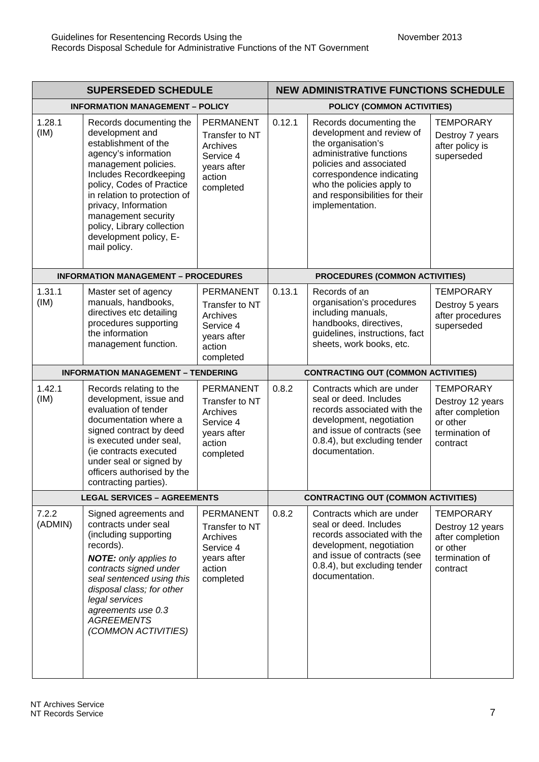| <b>SUPERSEDED SCHEDULE</b> |                                                                                                                                                                                                                                                                                                                                  | <b>NEW ADMINISTRATIVE FUNCTIONS SCHEDULE</b>                                                      |                                            |                                                                                                                                                                                                                                                  |                                                                                                    |  |
|----------------------------|----------------------------------------------------------------------------------------------------------------------------------------------------------------------------------------------------------------------------------------------------------------------------------------------------------------------------------|---------------------------------------------------------------------------------------------------|--------------------------------------------|--------------------------------------------------------------------------------------------------------------------------------------------------------------------------------------------------------------------------------------------------|----------------------------------------------------------------------------------------------------|--|
|                            | <b>INFORMATION MANAGEMENT - POLICY</b>                                                                                                                                                                                                                                                                                           |                                                                                                   |                                            | POLICY (COMMON ACTIVITIES)                                                                                                                                                                                                                       |                                                                                                    |  |
| 1.28.1<br>(IM)             | Records documenting the<br>development and<br>establishment of the<br>agency's information<br>management policies.<br>Includes Recordkeeping<br>policy, Codes of Practice<br>in relation to protection of<br>privacy, Information<br>management security<br>policy, Library collection<br>development policy, E-<br>mail policy. | <b>PERMANENT</b><br>Transfer to NT<br>Archives<br>Service 4<br>years after<br>action<br>completed | 0.12.1                                     | Records documenting the<br>development and review of<br>the organisation's<br>administrative functions<br>policies and associated<br>correspondence indicating<br>who the policies apply to<br>and responsibilities for their<br>implementation. | <b>TEMPORARY</b><br>Destroy 7 years<br>after policy is<br>superseded                               |  |
|                            | <b>INFORMATION MANAGEMENT - PROCEDURES</b>                                                                                                                                                                                                                                                                                       |                                                                                                   |                                            | PROCEDURES (COMMON ACTIVITIES)                                                                                                                                                                                                                   |                                                                                                    |  |
| 1.31.1<br>(IM)             | Master set of agency<br>manuals, handbooks,<br>directives etc detailing<br>procedures supporting<br>the information<br>management function.                                                                                                                                                                                      | <b>PERMANENT</b><br>Transfer to NT<br>Archives<br>Service 4<br>years after<br>action<br>completed | 0.13.1                                     | Records of an<br>organisation's procedures<br>including manuals,<br>handbooks, directives,<br>guidelines, instructions, fact<br>sheets, work books, etc.                                                                                         | <b>TEMPORARY</b><br>Destroy 5 years<br>after procedures<br>superseded                              |  |
|                            | <b>INFORMATION MANAGEMENT - TENDERING</b>                                                                                                                                                                                                                                                                                        |                                                                                                   | <b>CONTRACTING OUT (COMMON ACTIVITIES)</b> |                                                                                                                                                                                                                                                  |                                                                                                    |  |
| 1.42.1<br>(IM)             | Records relating to the<br>development, issue and<br>evaluation of tender<br>documentation where a<br>signed contract by deed<br>is executed under seal,<br>(ie contracts executed<br>under seal or signed by<br>officers authorised by the<br>contracting parties).                                                             | <b>PERMANENT</b><br>Transfer to NT<br>Archives<br>Service 4<br>years after<br>action<br>completed | 0.8.2                                      | Contracts which are under<br>seal or deed. Includes<br>records associated with the<br>development, negotiation<br>and issue of contracts (see<br>0.8.4), but excluding tender<br>documentation.                                                  | <b>TEMPORARY</b><br>Destroy 12 years<br>after completion<br>or other<br>termination of<br>contract |  |
|                            | <b>LEGAL SERVICES - AGREEMENTS</b>                                                                                                                                                                                                                                                                                               |                                                                                                   |                                            | <b>CONTRACTING OUT (COMMON ACTIVITIES)</b>                                                                                                                                                                                                       |                                                                                                    |  |
| 7.2.2<br>(ADMIN)           | Signed agreements and<br>contracts under seal<br>(including supporting<br>records).<br><b>NOTE:</b> only applies to<br>contracts signed under<br>seal sentenced using this<br>disposal class; for other<br>legal services<br>agreements use 0.3<br><b>AGREEMENTS</b><br>(COMMON ACTIVITIES)                                      | <b>PERMANENT</b><br>Transfer to NT<br>Archives<br>Service 4<br>years after<br>action<br>completed | 0.8.2                                      | Contracts which are under<br>seal or deed. Includes<br>records associated with the<br>development, negotiation<br>and issue of contracts (see<br>0.8.4), but excluding tender<br>documentation.                                                  | <b>TEMPORARY</b><br>Destroy 12 years<br>after completion<br>or other<br>termination of<br>contract |  |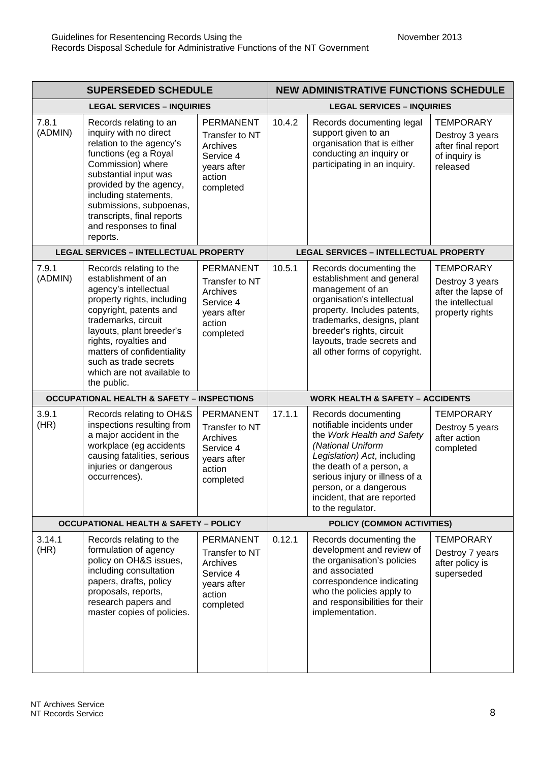| <b>SUPERSEDED SCHEDULE</b> |                                                                                                                                                                                                                                                                                                                 | <b>NEW ADMINISTRATIVE FUNCTIONS SCHEDULE</b>                                                      |                                   |                                                                                                                                                                                                                                                                                 |                                                                                                  |
|----------------------------|-----------------------------------------------------------------------------------------------------------------------------------------------------------------------------------------------------------------------------------------------------------------------------------------------------------------|---------------------------------------------------------------------------------------------------|-----------------------------------|---------------------------------------------------------------------------------------------------------------------------------------------------------------------------------------------------------------------------------------------------------------------------------|--------------------------------------------------------------------------------------------------|
|                            | <b>LEGAL SERVICES - INQUIRIES</b>                                                                                                                                                                                                                                                                               |                                                                                                   | <b>LEGAL SERVICES - INQUIRIES</b> |                                                                                                                                                                                                                                                                                 |                                                                                                  |
| 7.8.1<br>(ADMIN)           | Records relating to an<br>inquiry with no direct<br>relation to the agency's<br>functions (eg a Royal<br>Commission) where<br>substantial input was<br>provided by the agency,<br>including statements,<br>submissions, subpoenas,<br>transcripts, final reports<br>and responses to final<br>reports.          | <b>PERMANENT</b><br>Transfer to NT<br>Archives<br>Service 4<br>years after<br>action<br>completed | 10.4.2                            | Records documenting legal<br>support given to an<br>organisation that is either<br>conducting an inquiry or<br>participating in an inquiry.                                                                                                                                     | <b>TEMPORARY</b><br>Destroy 3 years<br>after final report<br>of inquiry is<br>released           |
|                            | <b>LEGAL SERVICES - INTELLECTUAL PROPERTY</b>                                                                                                                                                                                                                                                                   |                                                                                                   |                                   | <b>LEGAL SERVICES - INTELLECTUAL PROPERTY</b>                                                                                                                                                                                                                                   |                                                                                                  |
| 7.9.1<br>(ADMIN)           | Records relating to the<br>establishment of an<br>agency's intellectual<br>property rights, including<br>copyright, patents and<br>trademarks, circuit<br>layouts, plant breeder's<br>rights, royalties and<br>matters of confidentiality<br>such as trade secrets<br>which are not available to<br>the public. | <b>PERMANENT</b><br>Transfer to NT<br>Archives<br>Service 4<br>years after<br>action<br>completed | 10.5.1                            | Records documenting the<br>establishment and general<br>management of an<br>organisation's intellectual<br>property. Includes patents,<br>trademarks, designs, plant<br>breeder's rights, circuit<br>layouts, trade secrets and<br>all other forms of copyright.                | <b>TEMPORARY</b><br>Destroy 3 years<br>after the lapse of<br>the intellectual<br>property rights |
|                            | <b>OCCUPATIONAL HEALTH &amp; SAFETY - INSPECTIONS</b>                                                                                                                                                                                                                                                           |                                                                                                   |                                   | <b>WORK HEALTH &amp; SAFETY - ACCIDENTS</b>                                                                                                                                                                                                                                     |                                                                                                  |
| 3.9.1<br>(HR)              | Records relating to OH&S<br>inspections resulting from<br>a major accident in the<br>workplace (eg accidents<br>causing fatalities, serious<br>injuries or dangerous<br>occurrences).                                                                                                                           | <b>PERMANENT</b><br>Transfer to NT<br>Archives<br>Service 4<br>years after<br>action<br>completed | 17.1.1                            | Records documenting<br>notifiable incidents under<br>the Work Health and Safety<br>(National Uniform<br>Legislation) Act, including<br>the death of a person, a<br>serious injury or illness of a<br>person, or a dangerous<br>incident, that are reported<br>to the regulator. | <b>TEMPORARY</b><br>Destroy 5 years<br>after action<br>completed                                 |
|                            | <b>OCCUPATIONAL HEALTH &amp; SAFETY - POLICY</b>                                                                                                                                                                                                                                                                |                                                                                                   |                                   | POLICY (COMMON ACTIVITIES)                                                                                                                                                                                                                                                      |                                                                                                  |
| 3.14.1<br>(HR)             | Records relating to the<br>formulation of agency<br>policy on OH&S issues,<br>including consultation<br>papers, drafts, policy<br>proposals, reports,<br>research papers and<br>master copies of policies.                                                                                                      | <b>PERMANENT</b><br>Transfer to NT<br>Archives<br>Service 4<br>years after<br>action<br>completed | 0.12.1                            | Records documenting the<br>development and review of<br>the organisation's policies<br>and associated<br>correspondence indicating<br>who the policies apply to<br>and responsibilities for their<br>implementation.                                                            | <b>TEMPORARY</b><br>Destroy 7 years<br>after policy is<br>superseded                             |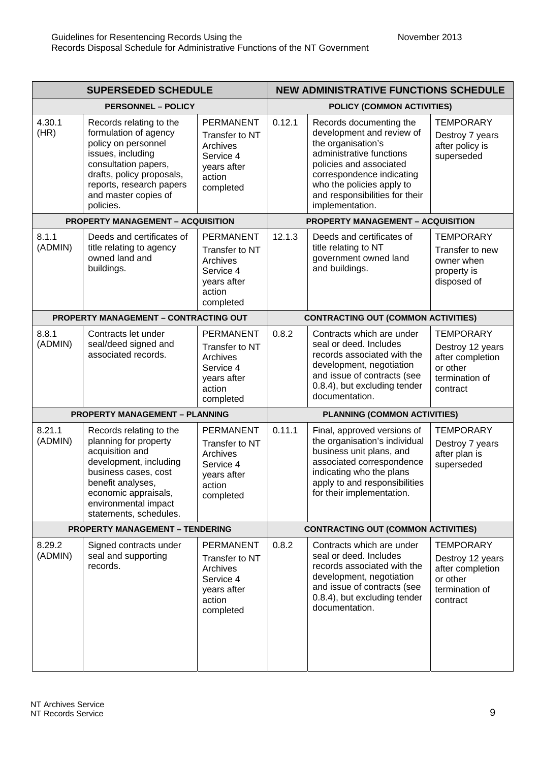| <b>SUPERSEDED SCHEDULE</b> |                                                                                                                                                                                                                      | <b>NEW ADMINISTRATIVE FUNCTIONS SCHEDULE</b>                                                      |                                     |                                                                                                                                                                                                                                                  |                                                                                                    |  |
|----------------------------|----------------------------------------------------------------------------------------------------------------------------------------------------------------------------------------------------------------------|---------------------------------------------------------------------------------------------------|-------------------------------------|--------------------------------------------------------------------------------------------------------------------------------------------------------------------------------------------------------------------------------------------------|----------------------------------------------------------------------------------------------------|--|
|                            | <b>PERSONNEL - POLICY</b>                                                                                                                                                                                            |                                                                                                   | POLICY (COMMON ACTIVITIES)          |                                                                                                                                                                                                                                                  |                                                                                                    |  |
| 4.30.1<br>(HR)             | Records relating to the<br>formulation of agency<br>policy on personnel<br>issues, including<br>consultation papers,<br>drafts, policy proposals,<br>reports, research papers<br>and master copies of<br>policies.   | <b>PERMANENT</b><br>Transfer to NT<br>Archives<br>Service 4<br>years after<br>action<br>completed | 0.12.1                              | Records documenting the<br>development and review of<br>the organisation's<br>administrative functions<br>policies and associated<br>correspondence indicating<br>who the policies apply to<br>and responsibilities for their<br>implementation. | <b>TEMPORARY</b><br>Destroy 7 years<br>after policy is<br>superseded                               |  |
|                            | <b>PROPERTY MANAGEMENT - ACQUISITION</b>                                                                                                                                                                             |                                                                                                   |                                     | <b>PROPERTY MANAGEMENT - ACQUISITION</b>                                                                                                                                                                                                         |                                                                                                    |  |
| 8.1.1<br>(ADMIN)           | Deeds and certificates of<br>title relating to agency<br>owned land and<br>buildings.                                                                                                                                | <b>PERMANENT</b><br>Transfer to NT<br>Archives<br>Service 4<br>years after<br>action<br>completed | 12.1.3                              | Deeds and certificates of<br>title relating to NT<br>government owned land<br>and buildings.                                                                                                                                                     | <b>TEMPORARY</b><br>Transfer to new<br>owner when<br>property is<br>disposed of                    |  |
|                            | <b>PROPERTY MANAGEMENT - CONTRACTING OUT</b>                                                                                                                                                                         |                                                                                                   |                                     | <b>CONTRACTING OUT (COMMON ACTIVITIES)</b>                                                                                                                                                                                                       |                                                                                                    |  |
| 8.8.1<br>(ADMIN)           | Contracts let under<br>seal/deed signed and<br>associated records.                                                                                                                                                   | <b>PERMANENT</b><br>Transfer to NT<br>Archives<br>Service 4<br>years after<br>action<br>completed | 0.8.2                               | Contracts which are under<br>seal or deed. Includes<br>records associated with the<br>development, negotiation<br>and issue of contracts (see<br>0.8.4), but excluding tender<br>documentation.                                                  | <b>TEMPORARY</b><br>Destroy 12 years<br>after completion<br>or other<br>termination of<br>contract |  |
|                            | <b>PROPERTY MANAGEMENT - PLANNING</b>                                                                                                                                                                                |                                                                                                   | <b>PLANNING (COMMON ACTIVITIES)</b> |                                                                                                                                                                                                                                                  |                                                                                                    |  |
| 8.21.1<br>(ADMIN)          | Records relating to the<br>planning for property<br>acquisition and<br>development, including<br>business cases, cost<br>benefit analyses,<br>economic appraisals,<br>environmental impact<br>statements, schedules. | <b>PERMANENT</b><br>Transfer to NT<br>Archives<br>Service 4<br>years after<br>action<br>completed | 0.11.1                              | Final, approved versions of<br>the organisation's individual<br>business unit plans, and<br>associated correspondence<br>indicating who the plans<br>apply to and responsibilities<br>for their implementation.                                  | <b>TEMPORARY</b><br>Destroy 7 years<br>after plan is<br>superseded                                 |  |
|                            | <b>PROPERTY MANAGEMENT - TENDERING</b>                                                                                                                                                                               |                                                                                                   |                                     | <b>CONTRACTING OUT (COMMON ACTIVITIES)</b>                                                                                                                                                                                                       |                                                                                                    |  |
| 8.29.2<br>(ADMIN)          | Signed contracts under<br>seal and supporting<br>records.                                                                                                                                                            | <b>PERMANENT</b><br>Transfer to NT<br>Archives<br>Service 4<br>years after<br>action<br>completed | 0.8.2                               | Contracts which are under<br>seal or deed. Includes<br>records associated with the<br>development, negotiation<br>and issue of contracts (see<br>0.8.4), but excluding tender<br>documentation.                                                  | <b>TEMPORARY</b><br>Destroy 12 years<br>after completion<br>or other<br>termination of<br>contract |  |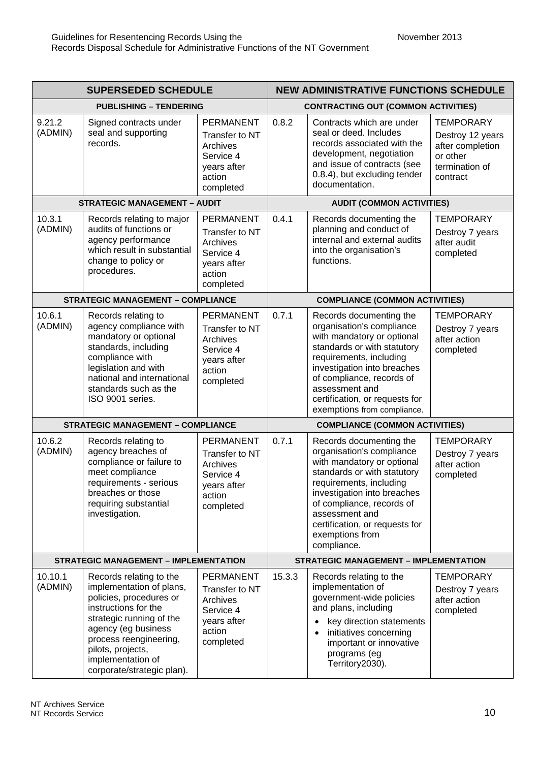| <b>SUPERSEDED SCHEDULE</b> |                                                                                                                                                                                                                                                             | <b>NEW ADMINISTRATIVE FUNCTIONS SCHEDULE</b>                                                      |                                       |                                                                                                                                                                                                                                                                                                |                                                                                                    |  |
|----------------------------|-------------------------------------------------------------------------------------------------------------------------------------------------------------------------------------------------------------------------------------------------------------|---------------------------------------------------------------------------------------------------|---------------------------------------|------------------------------------------------------------------------------------------------------------------------------------------------------------------------------------------------------------------------------------------------------------------------------------------------|----------------------------------------------------------------------------------------------------|--|
|                            | <b>PUBLISHING - TENDERING</b>                                                                                                                                                                                                                               |                                                                                                   |                                       | <b>CONTRACTING OUT (COMMON ACTIVITIES)</b>                                                                                                                                                                                                                                                     |                                                                                                    |  |
| 9.21.2<br>(ADMIN)          | Signed contracts under<br>seal and supporting<br>records.                                                                                                                                                                                                   | <b>PERMANENT</b><br>Transfer to NT<br>Archives<br>Service 4<br>years after<br>action<br>completed | 0.8.2                                 | Contracts which are under<br>seal or deed. Includes<br>records associated with the<br>development, negotiation<br>and issue of contracts (see<br>0.8.4), but excluding tender<br>documentation.                                                                                                | <b>TEMPORARY</b><br>Destroy 12 years<br>after completion<br>or other<br>termination of<br>contract |  |
|                            | <b>STRATEGIC MANAGEMENT - AUDIT</b>                                                                                                                                                                                                                         |                                                                                                   |                                       | <b>AUDIT (COMMON ACTIVITIES)</b>                                                                                                                                                                                                                                                               |                                                                                                    |  |
| 10.3.1<br>(ADMIN)          | Records relating to major<br>audits of functions or<br>agency performance<br>which result in substantial<br>change to policy or<br>procedures.                                                                                                              | <b>PERMANENT</b><br>Transfer to NT<br>Archives<br>Service 4<br>years after<br>action<br>completed | 0.4.1                                 | Records documenting the<br>planning and conduct of<br>internal and external audits<br>into the organisation's<br>functions.                                                                                                                                                                    | <b>TEMPORARY</b><br>Destroy 7 years<br>after audit<br>completed                                    |  |
|                            | <b>STRATEGIC MANAGEMENT - COMPLIANCE</b>                                                                                                                                                                                                                    |                                                                                                   |                                       | <b>COMPLIANCE (COMMON ACTIVITIES)</b>                                                                                                                                                                                                                                                          |                                                                                                    |  |
| 10.6.1<br>(ADMIN)          | Records relating to<br>agency compliance with<br>mandatory or optional<br>standards, including<br>compliance with<br>legislation and with<br>national and international<br>standards such as the<br>ISO 9001 series.                                        | <b>PERMANENT</b><br>Transfer to NT<br>Archives<br>Service 4<br>years after<br>action<br>completed | 0.7.1                                 | Records documenting the<br>organisation's compliance<br>with mandatory or optional<br>standards or with statutory<br>requirements, including<br>investigation into breaches<br>of compliance, records of<br>assessment and<br>certification, or requests for<br>exemptions from compliance.    | <b>TEMPORARY</b><br>Destroy 7 years<br>after action<br>completed                                   |  |
|                            | <b>STRATEGIC MANAGEMENT - COMPLIANCE</b>                                                                                                                                                                                                                    |                                                                                                   | <b>COMPLIANCE (COMMON ACTIVITIES)</b> |                                                                                                                                                                                                                                                                                                |                                                                                                    |  |
| 10.6.2<br>(ADMIN)          | Records relating to<br>agency breaches of<br>compliance or failure to<br>meet compliance<br>requirements - serious<br>breaches or those<br>requiring substantial<br>investigation.                                                                          | <b>PERMANENT</b><br>Transfer to NT<br>Archives<br>Service 4<br>years after<br>action<br>completed | 0.7.1                                 | Records documenting the<br>organisation's compliance<br>with mandatory or optional<br>standards or with statutory<br>requirements, including<br>investigation into breaches<br>of compliance, records of<br>assessment and<br>certification, or requests for<br>exemptions from<br>compliance. | <b>TEMPORARY</b><br>Destroy 7 years<br>after action<br>completed                                   |  |
|                            | <b>STRATEGIC MANAGEMENT - IMPLEMENTATION</b>                                                                                                                                                                                                                |                                                                                                   |                                       | <b>STRATEGIC MANAGEMENT - IMPLEMENTATION</b>                                                                                                                                                                                                                                                   |                                                                                                    |  |
| 10.10.1<br>(ADMIN)         | Records relating to the<br>implementation of plans,<br>policies, procedures or<br>instructions for the<br>strategic running of the<br>agency (eg business<br>process reengineering,<br>pilots, projects,<br>implementation of<br>corporate/strategic plan). | <b>PERMANENT</b><br>Transfer to NT<br>Archives<br>Service 4<br>years after<br>action<br>completed | 15.3.3                                | Records relating to the<br>implementation of<br>government-wide policies<br>and plans, including<br>key direction statements<br>initiatives concerning<br>$\bullet$<br>important or innovative<br>programs (eg<br>Territory2030).                                                              | <b>TEMPORARY</b><br>Destroy 7 years<br>after action<br>completed                                   |  |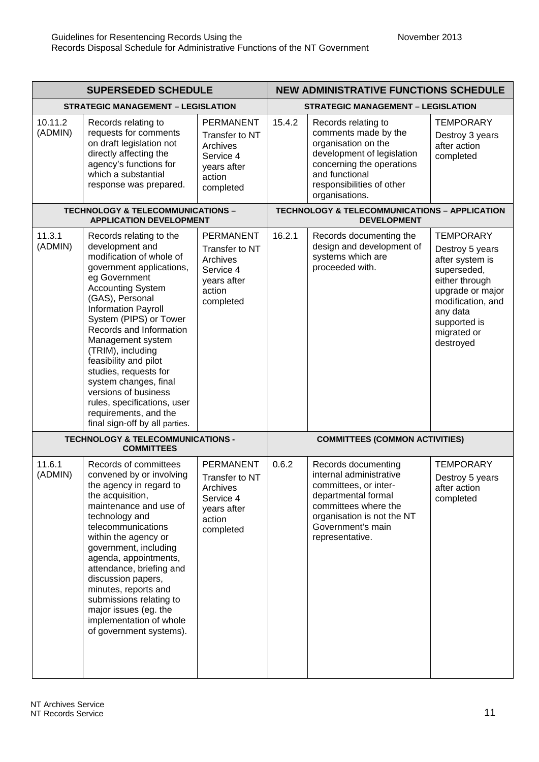| <b>SUPERSEDED SCHEDULE</b> |                                                                                                                                                                                                                                                                                                                                                                                                                                                                                       | <b>NEW ADMINISTRATIVE FUNCTIONS SCHEDULE</b>                                                             |                                           |                                                                                                                                                                                                |                                                                                                                                                                                          |  |
|----------------------------|---------------------------------------------------------------------------------------------------------------------------------------------------------------------------------------------------------------------------------------------------------------------------------------------------------------------------------------------------------------------------------------------------------------------------------------------------------------------------------------|----------------------------------------------------------------------------------------------------------|-------------------------------------------|------------------------------------------------------------------------------------------------------------------------------------------------------------------------------------------------|------------------------------------------------------------------------------------------------------------------------------------------------------------------------------------------|--|
|                            | <b>STRATEGIC MANAGEMENT - LEGISLATION</b>                                                                                                                                                                                                                                                                                                                                                                                                                                             |                                                                                                          | <b>STRATEGIC MANAGEMENT - LEGISLATION</b> |                                                                                                                                                                                                |                                                                                                                                                                                          |  |
| 10.11.2<br>(ADMIN)         | Records relating to<br>requests for comments<br>on draft legislation not<br>directly affecting the<br>agency's functions for<br>which a substantial<br>response was prepared.                                                                                                                                                                                                                                                                                                         | <b>PERMANENT</b><br>Transfer to NT<br>Archives<br>Service 4<br>years after<br>action<br>completed        | 15.4.2                                    | Records relating to<br>comments made by the<br>organisation on the<br>development of legislation<br>concerning the operations<br>and functional<br>responsibilities of other<br>organisations. | <b>TEMPORARY</b><br>Destroy 3 years<br>after action<br>completed                                                                                                                         |  |
|                            | <b>TECHNOLOGY &amp; TELECOMMUNICATIONS -</b><br><b>APPLICATION DEVELOPMENT</b>                                                                                                                                                                                                                                                                                                                                                                                                        |                                                                                                          |                                           | <b>TECHNOLOGY &amp; TELECOMMUNICATIONS - APPLICATION</b><br><b>DEVELOPMENT</b>                                                                                                                 |                                                                                                                                                                                          |  |
| 11.3.1<br>(ADMIN)          | Records relating to the<br>development and<br>modification of whole of<br>government applications,<br>eg Government<br><b>Accounting System</b><br>(GAS), Personal<br>Information Payroll<br>System (PIPS) or Tower<br>Records and Information<br>Management system<br>(TRIM), including<br>feasibility and pilot<br>studies, requests for<br>system changes, final<br>versions of business<br>rules, specifications, user<br>requirements, and the<br>final sign-off by all parties. | <b>PERMANENT</b><br>Transfer to NT<br><b>Archives</b><br>Service 4<br>years after<br>action<br>completed | 16.2.1                                    | Records documenting the<br>design and development of<br>systems which are<br>proceeded with.                                                                                                   | <b>TEMPORARY</b><br>Destroy 5 years<br>after system is<br>superseded,<br>either through<br>upgrade or major<br>modification, and<br>any data<br>supported is<br>migrated or<br>destroyed |  |
|                            | <b>TECHNOLOGY &amp; TELECOMMUNICATIONS -</b><br><b>COMMITTEES</b>                                                                                                                                                                                                                                                                                                                                                                                                                     |                                                                                                          | <b>COMMITTEES (COMMON ACTIVITIES)</b>     |                                                                                                                                                                                                |                                                                                                                                                                                          |  |
| 11.6.1<br>(ADMIN)          | Records of committees<br>convened by or involving<br>the agency in regard to<br>the acquisition,<br>maintenance and use of<br>technology and<br>telecommunications<br>within the agency or<br>government, including<br>agenda, appointments,<br>attendance, briefing and<br>discussion papers,<br>minutes, reports and<br>submissions relating to<br>major issues (eg. the<br>implementation of whole<br>of government systems).                                                      | <b>PERMANENT</b><br>Transfer to NT<br>Archives<br>Service 4<br>years after<br>action<br>completed        | 0.6.2                                     | Records documenting<br>internal administrative<br>committees, or inter-<br>departmental formal<br>committees where the<br>organisation is not the NT<br>Government's main<br>representative.   | <b>TEMPORARY</b><br>Destroy 5 years<br>after action<br>completed                                                                                                                         |  |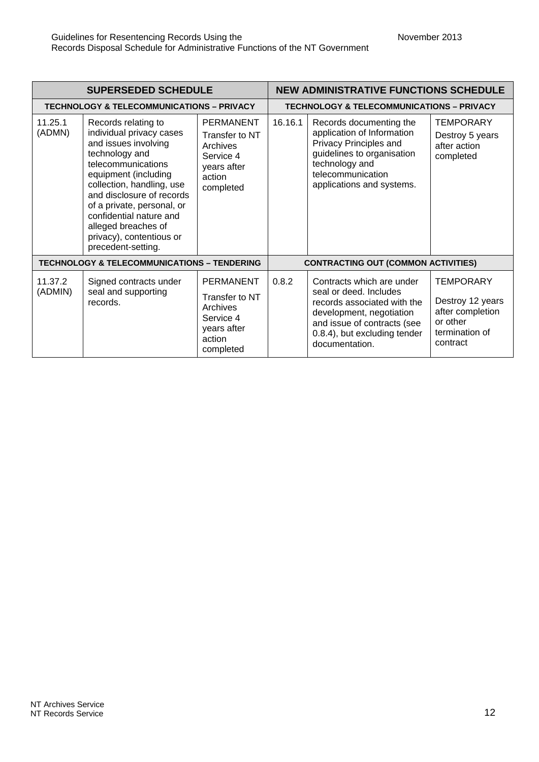| <b>SUPERSEDED SCHEDULE</b> |                                                                                                                                                                                                                                                                                                                                     |                                                                                                   | <b>NEW ADMINISTRATIVE FUNCTIONS SCHEDULE</b> |                                                                                                                                                                                                 |                                                                                                    |
|----------------------------|-------------------------------------------------------------------------------------------------------------------------------------------------------------------------------------------------------------------------------------------------------------------------------------------------------------------------------------|---------------------------------------------------------------------------------------------------|----------------------------------------------|-------------------------------------------------------------------------------------------------------------------------------------------------------------------------------------------------|----------------------------------------------------------------------------------------------------|
|                            | <b>TECHNOLOGY &amp; TELECOMMUNICATIONS - PRIVACY</b>                                                                                                                                                                                                                                                                                |                                                                                                   |                                              | <b>TECHNOLOGY &amp; TELECOMMUNICATIONS - PRIVACY</b>                                                                                                                                            |                                                                                                    |
| 11.25.1<br>(ADMN)          | Records relating to<br>individual privacy cases<br>and issues involving<br>technology and<br>telecommunications<br>equipment (including<br>collection, handling, use<br>and disclosure of records<br>of a private, personal, or<br>confidential nature and<br>alleged breaches of<br>privacy), contentious or<br>precedent-setting. | <b>PERMANENT</b><br>Transfer to NT<br>Archives<br>Service 4<br>years after<br>action<br>completed | 16.16.1                                      | Records documenting the<br>application of Information<br>Privacy Principles and<br>guidelines to organisation<br>technology and<br>telecommunication<br>applications and systems.               | <b>TEMPORARY</b><br>Destroy 5 years<br>after action<br>completed                                   |
|                            | <b>TECHNOLOGY &amp; TELECOMMUNICATIONS - TENDERING</b>                                                                                                                                                                                                                                                                              |                                                                                                   | <b>CONTRACTING OUT (COMMON ACTIVITIES)</b>   |                                                                                                                                                                                                 |                                                                                                    |
| 11.37.2<br>(ADMIN)         | Signed contracts under<br>seal and supporting<br>records.                                                                                                                                                                                                                                                                           | <b>PERMANENT</b><br>Transfer to NT<br>Archives<br>Service 4<br>years after<br>action<br>completed | 0.8.2                                        | Contracts which are under<br>seal or deed. Includes<br>records associated with the<br>development, negotiation<br>and issue of contracts (see<br>0.8.4), but excluding tender<br>documentation. | <b>TEMPORARY</b><br>Destroy 12 years<br>after completion<br>or other<br>termination of<br>contract |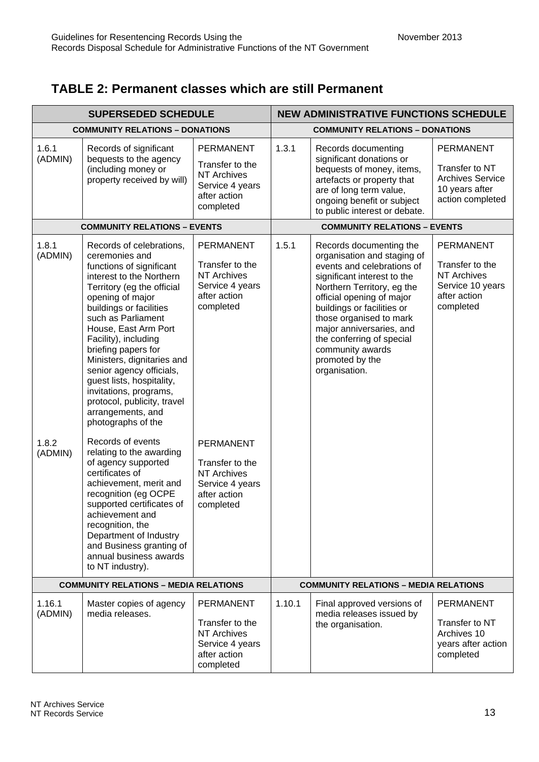### **TABLE 2: Permanent classes which are still Permanent**

| <b>SUPERSEDED SCHEDULE</b>             |                                                                                                                                                                                                                                                                                                                                                                                                                                                                         | <b>NEW ADMINISTRATIVE FUNCTIONS SCHEDULE</b>                                                              |                                        |                                                                                                                                                                                                                                                                                                                                                          |                                                                                                            |
|----------------------------------------|-------------------------------------------------------------------------------------------------------------------------------------------------------------------------------------------------------------------------------------------------------------------------------------------------------------------------------------------------------------------------------------------------------------------------------------------------------------------------|-----------------------------------------------------------------------------------------------------------|----------------------------------------|----------------------------------------------------------------------------------------------------------------------------------------------------------------------------------------------------------------------------------------------------------------------------------------------------------------------------------------------------------|------------------------------------------------------------------------------------------------------------|
| <b>COMMUNITY RELATIONS - DONATIONS</b> |                                                                                                                                                                                                                                                                                                                                                                                                                                                                         |                                                                                                           | <b>COMMUNITY RELATIONS - DONATIONS</b> |                                                                                                                                                                                                                                                                                                                                                          |                                                                                                            |
| 1.6.1<br>(ADMIN)                       | Records of significant<br>bequests to the agency<br>(including money or<br>property received by will)                                                                                                                                                                                                                                                                                                                                                                   | <b>PERMANENT</b><br>Transfer to the<br><b>NT Archives</b><br>Service 4 years<br>after action<br>completed | 1.3.1                                  | Records documenting<br>significant donations or<br>bequests of money, items,<br>artefacts or property that<br>are of long term value,<br>ongoing benefit or subject<br>to public interest or debate.                                                                                                                                                     | <b>PERMANENT</b><br>Transfer to NT<br><b>Archives Service</b><br>10 years after<br>action completed        |
|                                        | <b>COMMUNITY RELATIONS - EVENTS</b>                                                                                                                                                                                                                                                                                                                                                                                                                                     |                                                                                                           |                                        | <b>COMMUNITY RELATIONS - EVENTS</b>                                                                                                                                                                                                                                                                                                                      |                                                                                                            |
| 1.8.1<br>(ADMIN)                       | Records of celebrations,<br>ceremonies and<br>functions of significant<br>interest to the Northern<br>Territory (eg the official<br>opening of major<br>buildings or facilities<br>such as Parliament<br>House, East Arm Port<br>Facility), including<br>briefing papers for<br>Ministers, dignitaries and<br>senior agency officials,<br>guest lists, hospitality,<br>invitations, programs,<br>protocol, publicity, travel<br>arrangements, and<br>photographs of the | <b>PERMANENT</b><br>Transfer to the<br><b>NT Archives</b><br>Service 4 years<br>after action<br>completed | 1.5.1                                  | Records documenting the<br>organisation and staging of<br>events and celebrations of<br>significant interest to the<br>Northern Territory, eg the<br>official opening of major<br>buildings or facilities or<br>those organised to mark<br>major anniversaries, and<br>the conferring of special<br>community awards<br>promoted by the<br>organisation. | <b>PERMANENT</b><br>Transfer to the<br><b>NT Archives</b><br>Service 10 years<br>after action<br>completed |
| 1.8.2<br>(ADMIN)                       | Records of events<br>relating to the awarding<br>of agency supported<br>certificates of<br>achievement, merit and<br>recognition (eg OCPE<br>supported certificates of<br>achievement and<br>recognition, the<br>Department of Industry<br>and Business granting of<br>annual business awards<br>to NT industry).                                                                                                                                                       | <b>PERMANENT</b><br>Transfer to the<br><b>NT Archives</b><br>Service 4 years<br>after action<br>completed |                                        |                                                                                                                                                                                                                                                                                                                                                          |                                                                                                            |
|                                        | <b>COMMUNITY RELATIONS - MEDIA RELATIONS</b>                                                                                                                                                                                                                                                                                                                                                                                                                            |                                                                                                           |                                        | <b>COMMUNITY RELATIONS - MEDIA RELATIONS</b>                                                                                                                                                                                                                                                                                                             |                                                                                                            |
| 1.16.1<br>(ADMIN)                      | Master copies of agency<br>media releases.                                                                                                                                                                                                                                                                                                                                                                                                                              | <b>PERMANENT</b><br>Transfer to the<br><b>NT Archives</b><br>Service 4 years<br>after action<br>completed | 1.10.1                                 | Final approved versions of<br>media releases issued by<br>the organisation.                                                                                                                                                                                                                                                                              | <b>PERMANENT</b><br>Transfer to NT<br>Archives 10<br>years after action<br>completed                       |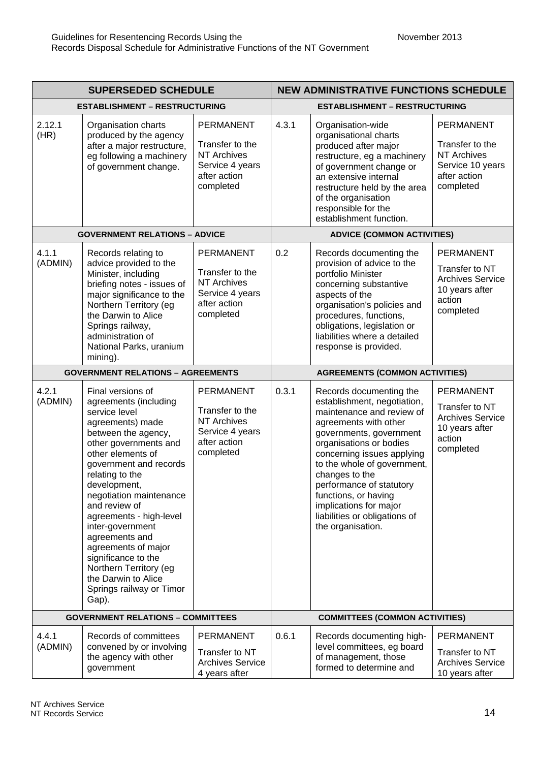| <b>SUPERSEDED SCHEDULE</b>               |                                                                                                                                                                                                                                                                                                                                                                                                                                                                    | <b>NEW ADMINISTRATIVE FUNCTIONS SCHEDULE</b>                                                              |                                       |                                                                                                                                                                                                                                                                                                                                                                                       |                                                                                                            |
|------------------------------------------|--------------------------------------------------------------------------------------------------------------------------------------------------------------------------------------------------------------------------------------------------------------------------------------------------------------------------------------------------------------------------------------------------------------------------------------------------------------------|-----------------------------------------------------------------------------------------------------------|---------------------------------------|---------------------------------------------------------------------------------------------------------------------------------------------------------------------------------------------------------------------------------------------------------------------------------------------------------------------------------------------------------------------------------------|------------------------------------------------------------------------------------------------------------|
| <b>ESTABLISHMENT - RESTRUCTURING</b>     |                                                                                                                                                                                                                                                                                                                                                                                                                                                                    |                                                                                                           | <b>ESTABLISHMENT - RESTRUCTURING</b>  |                                                                                                                                                                                                                                                                                                                                                                                       |                                                                                                            |
| 2.12.1<br>(HR)                           | Organisation charts<br>produced by the agency<br>after a major restructure,<br>eg following a machinery<br>of government change.                                                                                                                                                                                                                                                                                                                                   | <b>PERMANENT</b><br>Transfer to the<br><b>NT Archives</b><br>Service 4 years<br>after action<br>completed | 4.3.1                                 | Organisation-wide<br>organisational charts<br>produced after major<br>restructure, eg a machinery<br>of government change or<br>an extensive internal<br>restructure held by the area<br>of the organisation<br>responsible for the<br>establishment function.                                                                                                                        | <b>PERMANENT</b><br>Transfer to the<br><b>NT Archives</b><br>Service 10 years<br>after action<br>completed |
|                                          | <b>GOVERNMENT RELATIONS - ADVICE</b>                                                                                                                                                                                                                                                                                                                                                                                                                               |                                                                                                           |                                       | <b>ADVICE (COMMON ACTIVITIES)</b>                                                                                                                                                                                                                                                                                                                                                     |                                                                                                            |
| 4.1.1<br>(ADMIN)                         | Records relating to<br>advice provided to the<br>Minister, including<br>briefing notes - issues of<br>major significance to the<br>Northern Territory (eg<br>the Darwin to Alice<br>Springs railway,<br>administration of<br>National Parks, uranium<br>mining).                                                                                                                                                                                                   | <b>PERMANENT</b><br>Transfer to the<br><b>NT Archives</b><br>Service 4 years<br>after action<br>completed | 0.2                                   | Records documenting the<br>provision of advice to the<br>portfolio Minister<br>concerning substantive<br>aspects of the<br>organisation's policies and<br>procedures, functions,<br>obligations, legislation or<br>liabilities where a detailed<br>response is provided.                                                                                                              | <b>PERMANENT</b><br>Transfer to NT<br><b>Archives Service</b><br>10 years after<br>action<br>completed     |
| <b>GOVERNMENT RELATIONS - AGREEMENTS</b> |                                                                                                                                                                                                                                                                                                                                                                                                                                                                    |                                                                                                           | <b>AGREEMENTS (COMMON ACTIVITIES)</b> |                                                                                                                                                                                                                                                                                                                                                                                       |                                                                                                            |
| 4.2.1<br>(ADMIN)                         | Final versions of<br>agreements (including<br>service level<br>agreements) made<br>between the agency,<br>other governments and<br>other elements of<br>government and records<br>relating to the<br>development,<br>negotiation maintenance<br>and review of<br>agreements - high-level<br>inter-government<br>agreements and<br>agreements of major<br>significance to the<br>Northern Territory (eg<br>the Darwin to Alice<br>Springs railway or Timor<br>Gap). | <b>PERMANENT</b><br>Transfer to the<br><b>NT Archives</b><br>Service 4 years<br>after action<br>completed | 0.3.1                                 | Records documenting the<br>establishment, negotiation,<br>maintenance and review of<br>agreements with other<br>governments, government<br>organisations or bodies<br>concerning issues applying<br>to the whole of government,<br>changes to the<br>performance of statutory<br>functions, or having<br>implications for major<br>liabilities or obligations of<br>the organisation. | <b>PERMANENT</b><br>Transfer to NT<br><b>Archives Service</b><br>10 years after<br>action<br>completed     |
|                                          | <b>GOVERNMENT RELATIONS - COMMITTEES</b>                                                                                                                                                                                                                                                                                                                                                                                                                           |                                                                                                           |                                       | <b>COMMITTEES (COMMON ACTIVITIES)</b>                                                                                                                                                                                                                                                                                                                                                 |                                                                                                            |
| 4.4.1<br>(ADMIN)                         | Records of committees<br>convened by or involving<br>the agency with other<br>government                                                                                                                                                                                                                                                                                                                                                                           | PERMANENT<br>Transfer to NT<br><b>Archives Service</b><br>4 years after                                   | 0.6.1                                 | Records documenting high-<br>level committees, eg board<br>of management, those<br>formed to determine and                                                                                                                                                                                                                                                                            | <b>PERMANENT</b><br>Transfer to NT<br><b>Archives Service</b><br>10 years after                            |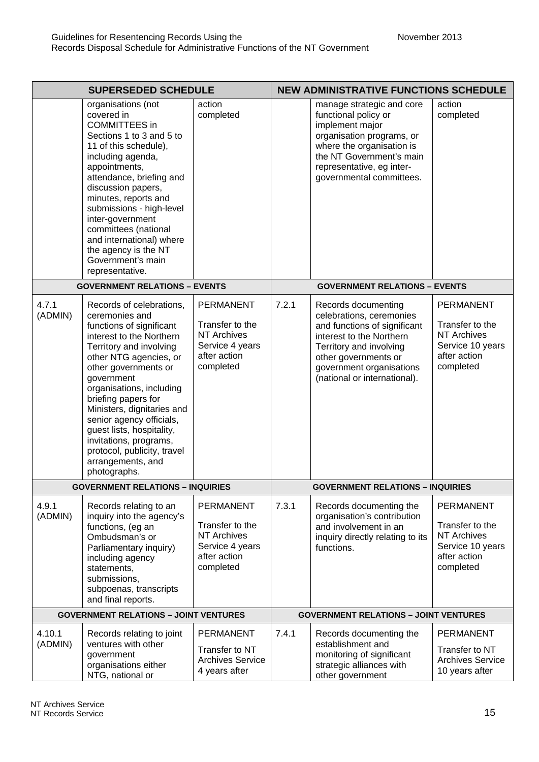| <b>SUPERSEDED SCHEDULE</b> |                                                                                                                                                                                                                                                                                                                                                                                                                                       |                                                                                                           | <b>NEW ADMINISTRATIVE FUNCTIONS SCHEDULE</b> |                                                                                                                                                                                                                            |                                                                                                            |
|----------------------------|---------------------------------------------------------------------------------------------------------------------------------------------------------------------------------------------------------------------------------------------------------------------------------------------------------------------------------------------------------------------------------------------------------------------------------------|-----------------------------------------------------------------------------------------------------------|----------------------------------------------|----------------------------------------------------------------------------------------------------------------------------------------------------------------------------------------------------------------------------|------------------------------------------------------------------------------------------------------------|
|                            | organisations (not<br>covered in<br><b>COMMITTEES</b> in<br>Sections 1 to 3 and 5 to<br>11 of this schedule),<br>including agenda,<br>appointments,<br>attendance, briefing and<br>discussion papers,<br>minutes, reports and<br>submissions - high-level<br>inter-government<br>committees (national<br>and international) where<br>the agency is the NT<br>Government's main<br>representative.                                     | action<br>completed                                                                                       |                                              | manage strategic and core<br>functional policy or<br>implement major<br>organisation programs, or<br>where the organisation is<br>the NT Government's main<br>representative, eg inter-<br>governmental committees.        | action<br>completed                                                                                        |
|                            | <b>GOVERNMENT RELATIONS - EVENTS</b>                                                                                                                                                                                                                                                                                                                                                                                                  |                                                                                                           |                                              | <b>GOVERNMENT RELATIONS - EVENTS</b>                                                                                                                                                                                       |                                                                                                            |
| 4.7.1<br>(ADMIN)           | Records of celebrations,<br>ceremonies and<br>functions of significant<br>interest to the Northern<br>Territory and involving<br>other NTG agencies, or<br>other governments or<br>government<br>organisations, including<br>briefing papers for<br>Ministers, dignitaries and<br>senior agency officials,<br>guest lists, hospitality,<br>invitations, programs,<br>protocol, publicity, travel<br>arrangements, and<br>photographs. | PERMANENT<br>Transfer to the<br><b>NT Archives</b><br>Service 4 years<br>after action<br>completed        | 7.2.1                                        | Records documenting<br>celebrations, ceremonies<br>and functions of significant<br>interest to the Northern<br>Territory and involving<br>other governments or<br>government organisations<br>(national or international). | <b>PERMANENT</b><br>Transfer to the<br><b>NT Archives</b><br>Service 10 years<br>after action<br>completed |
|                            | <b>GOVERNMENT RELATIONS - INQUIRIES</b>                                                                                                                                                                                                                                                                                                                                                                                               |                                                                                                           |                                              | <b>GOVERNMENT RELATIONS - INQUIRIES</b>                                                                                                                                                                                    |                                                                                                            |
| 4.9.1<br>(ADMIN)           | Records relating to an<br>inquiry into the agency's<br>functions, (eg an<br>Ombudsman's or<br>Parliamentary inquiry)<br>including agency<br>statements,<br>submissions,<br>subpoenas, transcripts<br>and final reports.                                                                                                                                                                                                               | <b>PERMANENT</b><br>Transfer to the<br><b>NT Archives</b><br>Service 4 years<br>after action<br>completed | 7.3.1                                        | Records documenting the<br>organisation's contribution<br>and involvement in an<br>inquiry directly relating to its<br>functions.                                                                                          | <b>PERMANENT</b><br>Transfer to the<br><b>NT Archives</b><br>Service 10 years<br>after action<br>completed |
|                            | <b>GOVERNMENT RELATIONS - JOINT VENTURES</b>                                                                                                                                                                                                                                                                                                                                                                                          |                                                                                                           |                                              | <b>GOVERNMENT RELATIONS - JOINT VENTURES</b>                                                                                                                                                                               |                                                                                                            |
| 4.10.1<br>(ADMIN)          | Records relating to joint<br>ventures with other<br>government<br>organisations either<br>NTG, national or                                                                                                                                                                                                                                                                                                                            | PERMANENT<br>Transfer to NT<br><b>Archives Service</b><br>4 years after                                   | 7.4.1                                        | Records documenting the<br>establishment and<br>monitoring of significant<br>strategic alliances with<br>other government                                                                                                  | <b>PERMANENT</b><br>Transfer to NT<br><b>Archives Service</b><br>10 years after                            |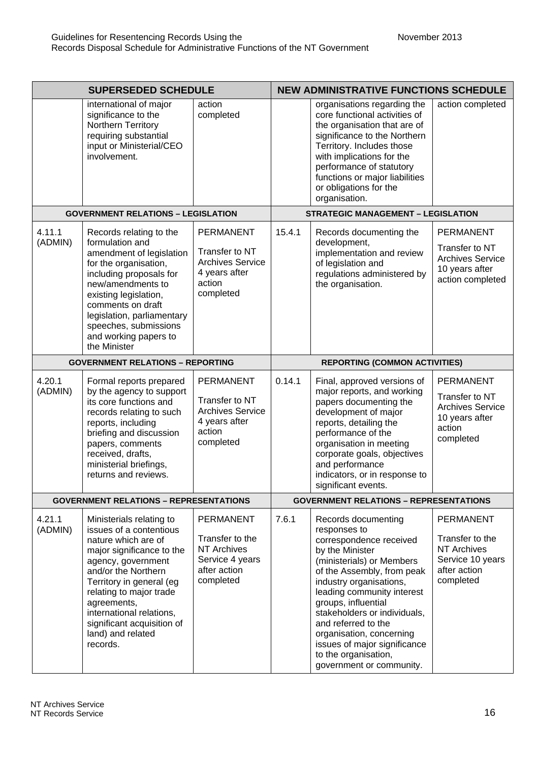|                   | <b>SUPERSEDED SCHEDULE</b>                                                                                                                                                                                                                                                                                            |                                                                                                           |        | <b>NEW ADMINISTRATIVE FUNCTIONS SCHEDULE</b>                                                                                                                                                                                                                                                                                                                                                        |                                                                                                        |  |
|-------------------|-----------------------------------------------------------------------------------------------------------------------------------------------------------------------------------------------------------------------------------------------------------------------------------------------------------------------|-----------------------------------------------------------------------------------------------------------|--------|-----------------------------------------------------------------------------------------------------------------------------------------------------------------------------------------------------------------------------------------------------------------------------------------------------------------------------------------------------------------------------------------------------|--------------------------------------------------------------------------------------------------------|--|
|                   | international of major<br>significance to the<br>Northern Territory<br>requiring substantial<br>input or Ministerial/CEO<br>involvement.                                                                                                                                                                              | action<br>completed                                                                                       |        | organisations regarding the<br>core functional activities of<br>the organisation that are of<br>significance to the Northern<br>Territory. Includes those<br>with implications for the<br>performance of statutory<br>functions or major liabilities<br>or obligations for the<br>organisation.                                                                                                     | action completed                                                                                       |  |
|                   | <b>GOVERNMENT RELATIONS - LEGISLATION</b>                                                                                                                                                                                                                                                                             |                                                                                                           |        | <b>STRATEGIC MANAGEMENT - LEGISLATION</b>                                                                                                                                                                                                                                                                                                                                                           |                                                                                                        |  |
| 4.11.1<br>(ADMIN) | Records relating to the<br>formulation and<br>amendment of legislation<br>for the organisation,<br>including proposals for<br>new/amendments to<br>existing legislation,<br>comments on draft<br>legislation, parliamentary<br>speeches, submissions<br>and working papers to<br>the Minister                         | <b>PERMANENT</b><br>Transfer to NT<br><b>Archives Service</b><br>4 years after<br>action<br>completed     | 15.4.1 | Records documenting the<br>development,<br>implementation and review<br>of legislation and<br>regulations administered by<br>the organisation.                                                                                                                                                                                                                                                      | <b>PERMANENT</b><br>Transfer to NT<br><b>Archives Service</b><br>10 years after<br>action completed    |  |
|                   | <b>GOVERNMENT RELATIONS - REPORTING</b>                                                                                                                                                                                                                                                                               |                                                                                                           |        | <b>REPORTING (COMMON ACTIVITIES)</b>                                                                                                                                                                                                                                                                                                                                                                |                                                                                                        |  |
| 4.20.1<br>(ADMIN) | Formal reports prepared<br>by the agency to support<br>its core functions and<br>records relating to such<br>reports, including<br>briefing and discussion<br>papers, comments<br>received, drafts,<br>ministerial briefings,<br>returns and reviews.                                                                 | <b>PERMANENT</b><br>Transfer to NT<br><b>Archives Service</b><br>4 years after<br>action<br>completed     | 0.14.1 | Final, approved versions of<br>major reports, and working<br>papers documenting the<br>development of major<br>reports, detailing the<br>performance of the<br>organisation in meeting<br>corporate goals, objectives<br>and performance<br>indicators, or in response to<br>significant events.                                                                                                    | <b>PERMANENT</b><br>Transfer to NT<br><b>Archives Service</b><br>10 years after<br>action<br>completed |  |
|                   | <b>GOVERNMENT RELATIONS - REPRESENTATIONS</b>                                                                                                                                                                                                                                                                         |                                                                                                           |        | <b>GOVERNMENT RELATIONS - REPRESENTATIONS</b>                                                                                                                                                                                                                                                                                                                                                       |                                                                                                        |  |
| 4.21.1<br>(ADMIN) | Ministerials relating to<br>issues of a contentious<br>nature which are of<br>major significance to the<br>agency, government<br>and/or the Northern<br>Territory in general (eg<br>relating to major trade<br>agreements,<br>international relations,<br>significant acquisition of<br>land) and related<br>records. | <b>PERMANENT</b><br>Transfer to the<br><b>NT Archives</b><br>Service 4 years<br>after action<br>completed | 7.6.1  | Records documenting<br>responses to<br>correspondence received<br>by the Minister<br>(ministerials) or Members<br>of the Assembly, from peak<br>industry organisations,<br>leading community interest<br>groups, influential<br>stakeholders or individuals,<br>and referred to the<br>organisation, concerning<br>issues of major significance<br>to the organisation,<br>government or community. | PERMANENT<br>Transfer to the<br><b>NT Archives</b><br>Service 10 years<br>after action<br>completed    |  |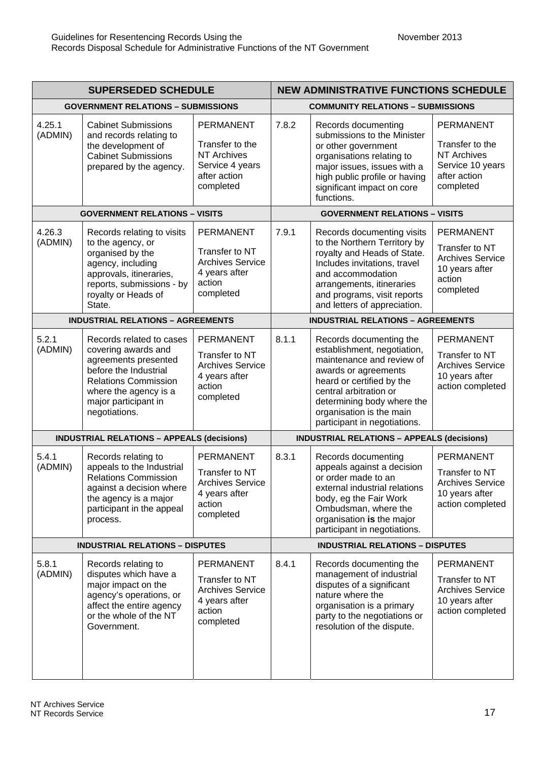| <b>SUPERSEDED SCHEDULE</b>             |                                                                                                                                                                                                   | <b>NEW ADMINISTRATIVE FUNCTIONS SCHEDULE</b>                                                              |                                        |                                                                                                                                                                                                                                                              |                                                                                                            |  |
|----------------------------------------|---------------------------------------------------------------------------------------------------------------------------------------------------------------------------------------------------|-----------------------------------------------------------------------------------------------------------|----------------------------------------|--------------------------------------------------------------------------------------------------------------------------------------------------------------------------------------------------------------------------------------------------------------|------------------------------------------------------------------------------------------------------------|--|
|                                        | <b>GOVERNMENT RELATIONS - SUBMISSIONS</b>                                                                                                                                                         |                                                                                                           |                                        | <b>COMMUNITY RELATIONS - SUBMISSIONS</b>                                                                                                                                                                                                                     |                                                                                                            |  |
| 4.25.1<br>(ADMIN)                      | <b>Cabinet Submissions</b><br>and records relating to<br>the development of<br><b>Cabinet Submissions</b><br>prepared by the agency.                                                              | <b>PERMANENT</b><br>Transfer to the<br><b>NT Archives</b><br>Service 4 years<br>after action<br>completed | 7.8.2                                  | Records documenting<br>submissions to the Minister<br>or other government<br>organisations relating to<br>major issues, issues with a<br>high public profile or having<br>significant impact on core<br>functions.                                           | <b>PERMANENT</b><br>Transfer to the<br><b>NT Archives</b><br>Service 10 years<br>after action<br>completed |  |
|                                        | <b>GOVERNMENT RELATIONS - VISITS</b>                                                                                                                                                              |                                                                                                           |                                        | <b>GOVERNMENT RELATIONS - VISITS</b>                                                                                                                                                                                                                         |                                                                                                            |  |
| 4.26.3<br>(ADMIN)                      | Records relating to visits<br>to the agency, or<br>organised by the<br>agency, including<br>approvals, itineraries,<br>reports, submissions - by<br>royalty or Heads of<br>State.                 | <b>PERMANENT</b><br>Transfer to NT<br><b>Archives Service</b><br>4 years after<br>action<br>completed     | 7.9.1                                  | Records documenting visits<br>to the Northern Territory by<br>royalty and Heads of State.<br>Includes invitations, travel<br>and accommodation<br>arrangements, itineraries<br>and programs, visit reports<br>and letters of appreciation.                   | <b>PERMANENT</b><br>Transfer to NT<br><b>Archives Service</b><br>10 years after<br>action<br>completed     |  |
|                                        | <b>INDUSTRIAL RELATIONS - AGREEMENTS</b>                                                                                                                                                          |                                                                                                           |                                        | <b>INDUSTRIAL RELATIONS - AGREEMENTS</b>                                                                                                                                                                                                                     |                                                                                                            |  |
| 5.2.1<br>(ADMIN)                       | Records related to cases<br>covering awards and<br>agreements presented<br>before the Industrial<br><b>Relations Commission</b><br>where the agency is a<br>major participant in<br>negotiations. | <b>PERMANENT</b><br>Transfer to NT<br><b>Archives Service</b><br>4 years after<br>action<br>completed     | 8.1.1                                  | Records documenting the<br>establishment, negotiation,<br>maintenance and review of<br>awards or agreements<br>heard or certified by the<br>central arbitration or<br>determining body where the<br>organisation is the main<br>participant in negotiations. | <b>PERMANENT</b><br>Transfer to NT<br><b>Archives Service</b><br>10 years after<br>action completed        |  |
|                                        | <b>INDUSTRIAL RELATIONS - APPEALS (decisions)</b>                                                                                                                                                 |                                                                                                           |                                        | <b>INDUSTRIAL RELATIONS - APPEALS (decisions)</b>                                                                                                                                                                                                            |                                                                                                            |  |
| 5.4.1<br>(ADMIN)                       | Records relating to<br>appeals to the Industrial<br><b>Relations Commission</b><br>against a decision where<br>the agency is a major<br>participant in the appeal<br>process.                     | <b>PERMANENT</b><br>Transfer to NT<br><b>Archives Service</b><br>4 years after<br>action<br>completed     | 8.3.1                                  | Records documenting<br>appeals against a decision<br>or order made to an<br>external industrial relations<br>body, eg the Fair Work<br>Ombudsman, where the<br>organisation is the major<br>participant in negotiations.                                     | <b>PERMANENT</b><br>Transfer to NT<br><b>Archives Service</b><br>10 years after<br>action completed        |  |
| <b>INDUSTRIAL RELATIONS - DISPUTES</b> |                                                                                                                                                                                                   |                                                                                                           | <b>INDUSTRIAL RELATIONS - DISPUTES</b> |                                                                                                                                                                                                                                                              |                                                                                                            |  |
| 5.8.1<br>(ADMIN)                       | Records relating to<br>disputes which have a<br>major impact on the<br>agency's operations, or<br>affect the entire agency<br>or the whole of the NT<br>Government.                               | <b>PERMANENT</b><br>Transfer to NT<br><b>Archives Service</b><br>4 years after<br>action<br>completed     | 8.4.1                                  | Records documenting the<br>management of industrial<br>disputes of a significant<br>nature where the<br>organisation is a primary<br>party to the negotiations or<br>resolution of the dispute.                                                              | <b>PERMANENT</b><br>Transfer to NT<br><b>Archives Service</b><br>10 years after<br>action completed        |  |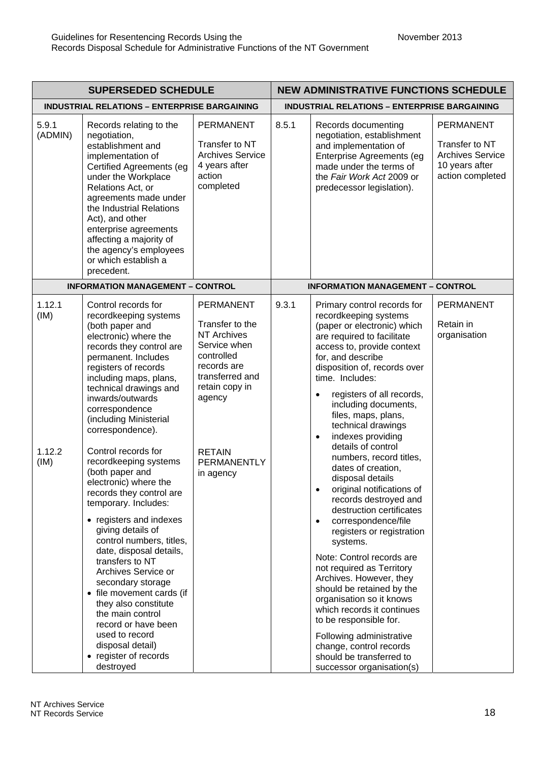| <b>SUPERSEDED SCHEDULE</b>                          |                                                                                                                                                                                                                                                                                                                                                                                                                                                                                                                                                                                                                                                                                                                                                                                                               | <b>NEW ADMINISTRATIVE FUNCTIONS SCHEDULE</b>                                                                                                                                                       |       |                                                                                                                                                                                                                                                                                                                                                                                                                                                                                                                                                                                                                                                                                                                                                                                                                                                                                                                                                          |                                                                                                     |  |
|-----------------------------------------------------|---------------------------------------------------------------------------------------------------------------------------------------------------------------------------------------------------------------------------------------------------------------------------------------------------------------------------------------------------------------------------------------------------------------------------------------------------------------------------------------------------------------------------------------------------------------------------------------------------------------------------------------------------------------------------------------------------------------------------------------------------------------------------------------------------------------|----------------------------------------------------------------------------------------------------------------------------------------------------------------------------------------------------|-------|----------------------------------------------------------------------------------------------------------------------------------------------------------------------------------------------------------------------------------------------------------------------------------------------------------------------------------------------------------------------------------------------------------------------------------------------------------------------------------------------------------------------------------------------------------------------------------------------------------------------------------------------------------------------------------------------------------------------------------------------------------------------------------------------------------------------------------------------------------------------------------------------------------------------------------------------------------|-----------------------------------------------------------------------------------------------------|--|
| <b>INDUSTRIAL RELATIONS - ENTERPRISE BARGAINING</b> |                                                                                                                                                                                                                                                                                                                                                                                                                                                                                                                                                                                                                                                                                                                                                                                                               |                                                                                                                                                                                                    |       | <b>INDUSTRIAL RELATIONS - ENTERPRISE BARGAINING</b>                                                                                                                                                                                                                                                                                                                                                                                                                                                                                                                                                                                                                                                                                                                                                                                                                                                                                                      |                                                                                                     |  |
| 5.9.1<br>(ADMIN)                                    | Records relating to the<br>negotiation,<br>establishment and<br>implementation of<br>Certified Agreements (eg<br>under the Workplace<br>Relations Act, or<br>agreements made under<br>the Industrial Relations<br>Act), and other<br>enterprise agreements<br>affecting a majority of<br>the agency's employees<br>or which establish a<br>precedent.                                                                                                                                                                                                                                                                                                                                                                                                                                                         | <b>PERMANENT</b><br>Transfer to NT<br><b>Archives Service</b><br>4 years after<br>action<br>completed                                                                                              | 8.5.1 | Records documenting<br>negotiation, establishment<br>and implementation of<br>Enterprise Agreements (eg<br>made under the terms of<br>the Fair Work Act 2009 or<br>predecessor legislation).                                                                                                                                                                                                                                                                                                                                                                                                                                                                                                                                                                                                                                                                                                                                                             | <b>PERMANENT</b><br>Transfer to NT<br><b>Archives Service</b><br>10 years after<br>action completed |  |
|                                                     | <b>INFORMATION MANAGEMENT - CONTROL</b>                                                                                                                                                                                                                                                                                                                                                                                                                                                                                                                                                                                                                                                                                                                                                                       |                                                                                                                                                                                                    |       | <b>INFORMATION MANAGEMENT - CONTROL</b>                                                                                                                                                                                                                                                                                                                                                                                                                                                                                                                                                                                                                                                                                                                                                                                                                                                                                                                  |                                                                                                     |  |
| 1.12.1<br>(IM)<br>1.12.2<br>(IM)                    | Control records for<br>recordkeeping systems<br>(both paper and<br>electronic) where the<br>records they control are<br>permanent. Includes<br>registers of records<br>including maps, plans,<br>technical drawings and<br>inwards/outwards<br>correspondence<br>(including Ministerial<br>correspondence).<br>Control records for<br>recordkeeping systems<br>(both paper and<br>electronic) where the<br>records they control are<br>temporary. Includes:<br>• registers and indexes<br>giving details of<br>control numbers, titles,<br>date, disposal details,<br>transfers to NT<br>Archives Service or<br>secondary storage<br>• file movement cards (if<br>they also constitute<br>the main control<br>record or have been<br>used to record<br>disposal detail)<br>• register of records<br>destroyed | <b>PERMANENT</b><br>Transfer to the<br><b>NT Archives</b><br>Service when<br>controlled<br>records are<br>transferred and<br>retain copy in<br>agency<br><b>RETAIN</b><br>PERMANENTLY<br>in agency | 9.3.1 | Primary control records for<br>recordkeeping systems<br>(paper or electronic) which<br>are required to facilitate<br>access to, provide context<br>for, and describe<br>disposition of, records over<br>time. Includes:<br>registers of all records,<br>$\bullet$<br>including documents,<br>files, maps, plans,<br>technical drawings<br>indexes providing<br>$\bullet$<br>details of control<br>numbers, record titles,<br>dates of creation,<br>disposal details<br>original notifications of<br>records destroyed and<br>destruction certificates<br>correspondence/file<br>$\bullet$<br>registers or registration<br>systems.<br>Note: Control records are<br>not required as Territory<br>Archives. However, they<br>should be retained by the<br>organisation so it knows<br>which records it continues<br>to be responsible for.<br>Following administrative<br>change, control records<br>should be transferred to<br>successor organisation(s) | <b>PERMANENT</b><br>Retain in<br>organisation                                                       |  |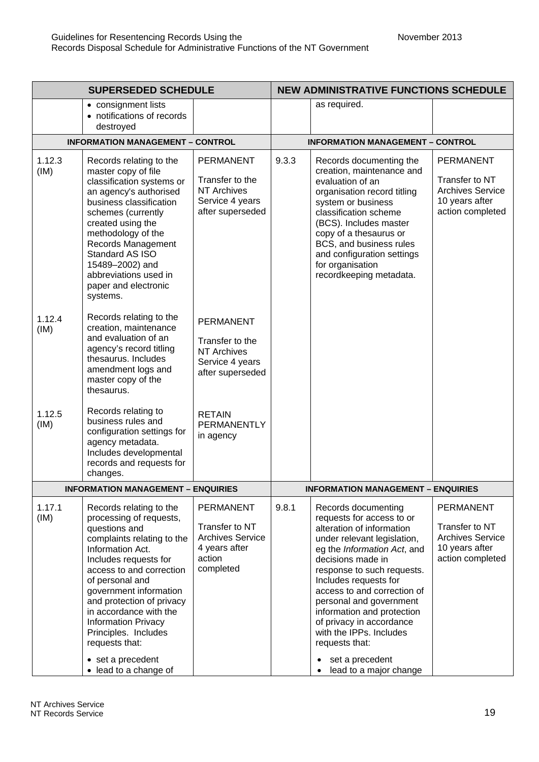| as required.<br>• consignment lists<br>• notifications of records<br>destroyed<br><b>INFORMATION MANAGEMENT - CONTROL</b><br><b>INFORMATION MANAGEMENT - CONTROL</b><br>1.12.3<br>9.3.3<br>Records relating to the<br><b>PERMANENT</b><br>Records documenting the<br>master copy of file<br>creation, maintenance and<br>(IM)<br>Transfer to the<br>classification systems or<br>evaluation of an<br><b>NT Archives</b><br>an agency's authorised<br>organisation record titling<br>Service 4 years<br>business classification<br>system or business<br>after superseded<br>classification scheme<br>schemes (currently<br>created using the<br>(BCS). Includes master<br>methodology of the<br>copy of a thesaurus or<br>Records Management<br>BCS, and business rules<br>Standard AS ISO<br>and configuration settings<br>15489-2002) and<br>for organisation<br>abbreviations used in<br>recordkeeping metadata.<br>paper and electronic<br>systems.<br>Records relating to the<br>1.12.4<br><b>PERMANENT</b><br>creation, maintenance<br>(IM)<br>and evaluation of an<br>Transfer to the<br>agency's record titling<br><b>NT Archives</b><br>thesaurus. Includes<br>Service 4 years<br>amendment logs and<br>after superseded<br>master copy of the<br>thesaurus.<br>Records relating to<br>1.12.5<br><b>RETAIN</b><br>business rules and<br>(IM)<br>PERMANENTLY<br>configuration settings for<br>in agency<br>agency metadata.<br>Includes developmental<br>records and requests for<br>changes.<br><b>INFORMATION MANAGEMENT - ENQUIRIES</b><br><b>INFORMATION MANAGEMENT - ENQUIRIES</b><br>1.17.1<br>9.8.1<br><b>PERMANENT</b><br>Records relating to the<br>Records documenting<br>(IM)<br>processing of requests,<br>requests for access to or<br>Transfer to NT<br>alteration of information<br>questions and<br><b>Archives Service</b><br>complaints relating to the<br>under relevant legislation,<br>4 years after<br>Information Act.<br>eg the Information Act, and<br>action<br>decisions made in<br>Includes requests for<br>completed<br>access to and correction<br>response to such requests. | <b>SUPERSEDED SCHEDULE</b> |                 | <b>NEW ADMINISTRATIVE FUNCTIONS SCHEDULE</b> |  |                       |                                                                                                     |
|---------------------------------------------------------------------------------------------------------------------------------------------------------------------------------------------------------------------------------------------------------------------------------------------------------------------------------------------------------------------------------------------------------------------------------------------------------------------------------------------------------------------------------------------------------------------------------------------------------------------------------------------------------------------------------------------------------------------------------------------------------------------------------------------------------------------------------------------------------------------------------------------------------------------------------------------------------------------------------------------------------------------------------------------------------------------------------------------------------------------------------------------------------------------------------------------------------------------------------------------------------------------------------------------------------------------------------------------------------------------------------------------------------------------------------------------------------------------------------------------------------------------------------------------------------------------------------------------------------------------------------------------------------------------------------------------------------------------------------------------------------------------------------------------------------------------------------------------------------------------------------------------------------------------------------------------------------------------------------------------------------------------------------------------------------------------------------------------------------------------|----------------------------|-----------------|----------------------------------------------|--|-----------------------|-----------------------------------------------------------------------------------------------------|
|                                                                                                                                                                                                                                                                                                                                                                                                                                                                                                                                                                                                                                                                                                                                                                                                                                                                                                                                                                                                                                                                                                                                                                                                                                                                                                                                                                                                                                                                                                                                                                                                                                                                                                                                                                                                                                                                                                                                                                                                                                                                                                                     |                            |                 |                                              |  |                       |                                                                                                     |
|                                                                                                                                                                                                                                                                                                                                                                                                                                                                                                                                                                                                                                                                                                                                                                                                                                                                                                                                                                                                                                                                                                                                                                                                                                                                                                                                                                                                                                                                                                                                                                                                                                                                                                                                                                                                                                                                                                                                                                                                                                                                                                                     |                            |                 |                                              |  |                       |                                                                                                     |
|                                                                                                                                                                                                                                                                                                                                                                                                                                                                                                                                                                                                                                                                                                                                                                                                                                                                                                                                                                                                                                                                                                                                                                                                                                                                                                                                                                                                                                                                                                                                                                                                                                                                                                                                                                                                                                                                                                                                                                                                                                                                                                                     |                            |                 |                                              |  |                       | <b>PERMANENT</b><br>Transfer to NT<br><b>Archives Service</b><br>10 years after<br>action completed |
|                                                                                                                                                                                                                                                                                                                                                                                                                                                                                                                                                                                                                                                                                                                                                                                                                                                                                                                                                                                                                                                                                                                                                                                                                                                                                                                                                                                                                                                                                                                                                                                                                                                                                                                                                                                                                                                                                                                                                                                                                                                                                                                     |                            |                 |                                              |  |                       |                                                                                                     |
|                                                                                                                                                                                                                                                                                                                                                                                                                                                                                                                                                                                                                                                                                                                                                                                                                                                                                                                                                                                                                                                                                                                                                                                                                                                                                                                                                                                                                                                                                                                                                                                                                                                                                                                                                                                                                                                                                                                                                                                                                                                                                                                     |                            |                 |                                              |  |                       |                                                                                                     |
|                                                                                                                                                                                                                                                                                                                                                                                                                                                                                                                                                                                                                                                                                                                                                                                                                                                                                                                                                                                                                                                                                                                                                                                                                                                                                                                                                                                                                                                                                                                                                                                                                                                                                                                                                                                                                                                                                                                                                                                                                                                                                                                     |                            |                 |                                              |  |                       |                                                                                                     |
| access to and correction of<br>government information<br>and protection of privacy<br>personal and government<br>in accordance with the<br>information and protection<br><b>Information Privacy</b><br>of privacy in accordance<br>with the IPPs. Includes<br>Principles. Includes<br>requests that:<br>requests that:<br>set a precedent<br>• set a precedent<br>$\bullet$<br>• lead to a change of<br>lead to a major change                                                                                                                                                                                                                                                                                                                                                                                                                                                                                                                                                                                                                                                                                                                                                                                                                                                                                                                                                                                                                                                                                                                                                                                                                                                                                                                                                                                                                                                                                                                                                                                                                                                                                      |                            | of personal and |                                              |  | Includes requests for | <b>PERMANENT</b><br>Transfer to NT<br><b>Archives Service</b><br>10 years after<br>action completed |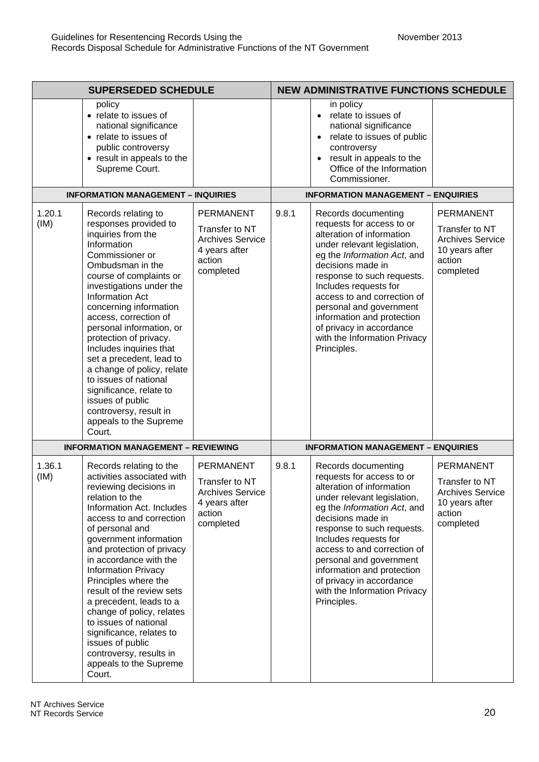|                | <b>SUPERSEDED SCHEDULE</b>                                                                                                                                                                                                                                                                                                                                                                                                                                                                                                                         |                                                                                                       |       | <b>NEW ADMINISTRATIVE FUNCTIONS SCHEDULE</b>                                                                                                                                                                                                                                                                                                                                               |                                                                                                        |
|----------------|----------------------------------------------------------------------------------------------------------------------------------------------------------------------------------------------------------------------------------------------------------------------------------------------------------------------------------------------------------------------------------------------------------------------------------------------------------------------------------------------------------------------------------------------------|-------------------------------------------------------------------------------------------------------|-------|--------------------------------------------------------------------------------------------------------------------------------------------------------------------------------------------------------------------------------------------------------------------------------------------------------------------------------------------------------------------------------------------|--------------------------------------------------------------------------------------------------------|
|                | policy<br>• relate to issues of<br>national significance<br>• relate to issues of<br>public controversy<br>• result in appeals to the<br>Supreme Court.                                                                                                                                                                                                                                                                                                                                                                                            |                                                                                                       |       | in policy<br>relate to issues of<br>national significance<br>relate to issues of public<br>controversy<br>result in appeals to the<br>Office of the Information<br>Commissioner.                                                                                                                                                                                                           |                                                                                                        |
|                | <b>INFORMATION MANAGEMENT - INQUIRIES</b>                                                                                                                                                                                                                                                                                                                                                                                                                                                                                                          |                                                                                                       |       | <b>INFORMATION MANAGEMENT - ENQUIRIES</b>                                                                                                                                                                                                                                                                                                                                                  |                                                                                                        |
| 1.20.1<br>(IM) | Records relating to<br>responses provided to<br>inquiries from the<br>Information<br>Commissioner or<br>Ombudsman in the<br>course of complaints or<br>investigations under the<br>Information Act<br>concerning information<br>access, correction of<br>personal information, or<br>protection of privacy.<br>Includes inquiries that<br>set a precedent, lead to<br>a change of policy, relate<br>to issues of national<br>significance, relate to<br>issues of public<br>controversy, result in<br>appeals to the Supreme<br>Court.             | <b>PERMANENT</b><br>Transfer to NT<br><b>Archives Service</b><br>4 years after<br>action<br>completed | 9.8.1 | Records documenting<br>requests for access to or<br>alteration of information<br>under relevant legislation,<br>eg the Information Act, and<br>decisions made in<br>response to such requests.<br>Includes requests for<br>access to and correction of<br>personal and government<br>information and protection<br>of privacy in accordance<br>with the Information Privacy<br>Principles. | <b>PERMANENT</b><br>Transfer to NT<br><b>Archives Service</b><br>10 years after<br>action<br>completed |
|                | <b>INFORMATION MANAGEMENT - REVIEWING</b>                                                                                                                                                                                                                                                                                                                                                                                                                                                                                                          |                                                                                                       |       | <b>INFORMATION MANAGEMENT - ENQUIRIES</b>                                                                                                                                                                                                                                                                                                                                                  |                                                                                                        |
| 1.36.1<br>(IM) | Records relating to the<br>activities associated with<br>reviewing decisions in<br>relation to the<br>Information Act. Includes<br>access to and correction<br>of personal and<br>government information<br>and protection of privacy<br>in accordance with the<br><b>Information Privacy</b><br>Principles where the<br>result of the review sets<br>a precedent, leads to a<br>change of policy, relates<br>to issues of national<br>significance, relates to<br>issues of public<br>controversy, results in<br>appeals to the Supreme<br>Court. | <b>PERMANENT</b><br>Transfer to NT<br><b>Archives Service</b><br>4 years after<br>action<br>completed | 9.8.1 | Records documenting<br>requests for access to or<br>alteration of information<br>under relevant legislation,<br>eg the Information Act, and<br>decisions made in<br>response to such requests.<br>Includes requests for<br>access to and correction of<br>personal and government<br>information and protection<br>of privacy in accordance<br>with the Information Privacy<br>Principles. | <b>PERMANENT</b><br>Transfer to NT<br><b>Archives Service</b><br>10 years after<br>action<br>completed |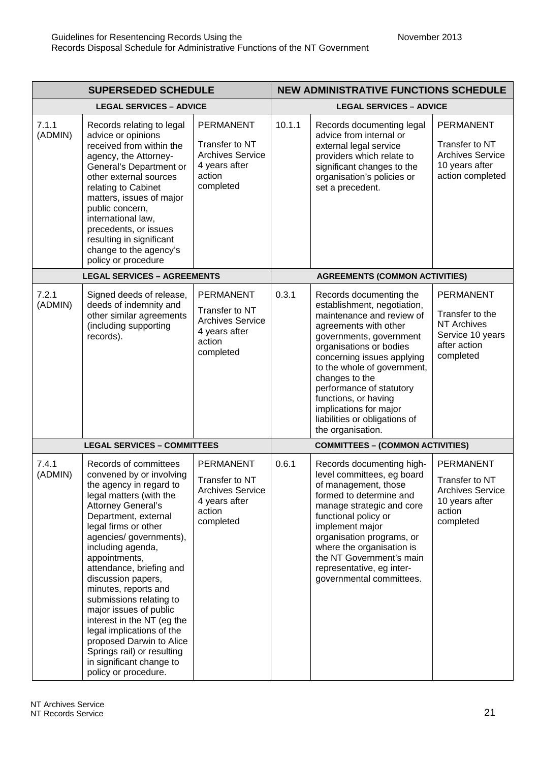| <b>SUPERSEDED SCHEDULE</b> |                                                                                                                                                                                                                                                                                                                                                                                                                                                                                                                                                              | <b>NEW ADMINISTRATIVE FUNCTIONS SCHEDULE</b>                                                          |                                         |                                                                                                                                                                                                                                                                                                                                                                                       |                                                                                                            |  |
|----------------------------|--------------------------------------------------------------------------------------------------------------------------------------------------------------------------------------------------------------------------------------------------------------------------------------------------------------------------------------------------------------------------------------------------------------------------------------------------------------------------------------------------------------------------------------------------------------|-------------------------------------------------------------------------------------------------------|-----------------------------------------|---------------------------------------------------------------------------------------------------------------------------------------------------------------------------------------------------------------------------------------------------------------------------------------------------------------------------------------------------------------------------------------|------------------------------------------------------------------------------------------------------------|--|
|                            | <b>LEGAL SERVICES - ADVICE</b>                                                                                                                                                                                                                                                                                                                                                                                                                                                                                                                               |                                                                                                       |                                         | <b>LEGAL SERVICES - ADVICE</b>                                                                                                                                                                                                                                                                                                                                                        |                                                                                                            |  |
| 7.1.1<br>(ADMIN)           | Records relating to legal<br>advice or opinions<br>received from within the<br>agency, the Attorney-<br>General's Department or<br>other external sources<br>relating to Cabinet<br>matters, issues of major<br>public concern,<br>international law,<br>precedents, or issues<br>resulting in significant<br>change to the agency's<br>policy or procedure                                                                                                                                                                                                  | <b>PERMANENT</b><br>Transfer to NT<br><b>Archives Service</b><br>4 years after<br>action<br>completed | 10.1.1                                  | Records documenting legal<br>advice from internal or<br>external legal service<br>providers which relate to<br>significant changes to the<br>organisation's policies or<br>set a precedent.                                                                                                                                                                                           | <b>PERMANENT</b><br>Transfer to NT<br><b>Archives Service</b><br>10 years after<br>action completed        |  |
|                            | <b>LEGAL SERVICES - AGREEMENTS</b>                                                                                                                                                                                                                                                                                                                                                                                                                                                                                                                           |                                                                                                       |                                         | <b>AGREEMENTS (COMMON ACTIVITIES)</b>                                                                                                                                                                                                                                                                                                                                                 |                                                                                                            |  |
| 7.2.1<br>(ADMIN)           | Signed deeds of release,<br>deeds of indemnity and<br>other similar agreements<br>(including supporting<br>records).                                                                                                                                                                                                                                                                                                                                                                                                                                         | <b>PERMANENT</b><br>Transfer to NT<br><b>Archives Service</b><br>4 years after<br>action<br>completed | 0.3.1                                   | Records documenting the<br>establishment, negotiation,<br>maintenance and review of<br>agreements with other<br>governments, government<br>organisations or bodies<br>concerning issues applying<br>to the whole of government,<br>changes to the<br>performance of statutory<br>functions, or having<br>implications for major<br>liabilities or obligations of<br>the organisation. | <b>PERMANENT</b><br>Transfer to the<br><b>NT Archives</b><br>Service 10 years<br>after action<br>completed |  |
|                            | <b>LEGAL SERVICES - COMMITTEES</b>                                                                                                                                                                                                                                                                                                                                                                                                                                                                                                                           |                                                                                                       | <b>COMMITTEES - (COMMON ACTIVITIES)</b> |                                                                                                                                                                                                                                                                                                                                                                                       |                                                                                                            |  |
| 7.4.1<br>(ADMIN)           | Records of committees<br>convened by or involving<br>the agency in regard to<br>legal matters (with the<br><b>Attorney General's</b><br>Department, external<br>legal firms or other<br>agencies/governments),<br>including agenda,<br>appointments,<br>attendance, briefing and<br>discussion papers,<br>minutes, reports and<br>submissions relating to<br>major issues of public<br>interest in the NT (eg the<br>legal implications of the<br>proposed Darwin to Alice<br>Springs rail) or resulting<br>in significant change to<br>policy or procedure. | <b>PERMANENT</b><br>Transfer to NT<br><b>Archives Service</b><br>4 years after<br>action<br>completed | 0.6.1                                   | Records documenting high-<br>level committees, eg board<br>of management, those<br>formed to determine and<br>manage strategic and core<br>functional policy or<br>implement major<br>organisation programs, or<br>where the organisation is<br>the NT Government's main<br>representative, eg inter-<br>governmental committees.                                                     | <b>PERMANENT</b><br>Transfer to NT<br><b>Archives Service</b><br>10 years after<br>action<br>completed     |  |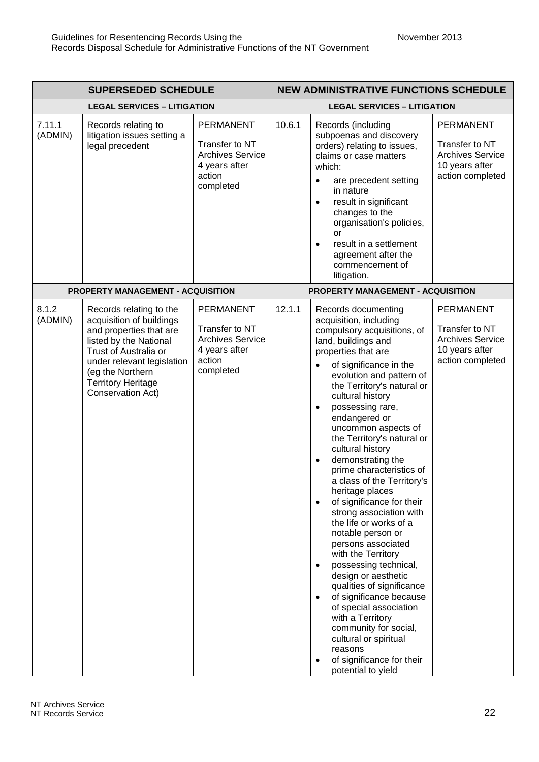|                   | <b>SUPERSEDED SCHEDULE</b>                                                                                                                                                                                                            |                                                                                                       |        | <b>NEW ADMINISTRATIVE FUNCTIONS SCHEDULE</b>                                                                                                                                                                                                                                                                                                                                                                                                                                                                                                                                                                                                                                                                                                                                                                                                                                                                                                                           |                                                                                                     |
|-------------------|---------------------------------------------------------------------------------------------------------------------------------------------------------------------------------------------------------------------------------------|-------------------------------------------------------------------------------------------------------|--------|------------------------------------------------------------------------------------------------------------------------------------------------------------------------------------------------------------------------------------------------------------------------------------------------------------------------------------------------------------------------------------------------------------------------------------------------------------------------------------------------------------------------------------------------------------------------------------------------------------------------------------------------------------------------------------------------------------------------------------------------------------------------------------------------------------------------------------------------------------------------------------------------------------------------------------------------------------------------|-----------------------------------------------------------------------------------------------------|
|                   | <b>LEGAL SERVICES - LITIGATION</b>                                                                                                                                                                                                    |                                                                                                       |        | <b>LEGAL SERVICES - LITIGATION</b>                                                                                                                                                                                                                                                                                                                                                                                                                                                                                                                                                                                                                                                                                                                                                                                                                                                                                                                                     |                                                                                                     |
| 7.11.1<br>(ADMIN) | Records relating to<br>litigation issues setting a<br>legal precedent                                                                                                                                                                 | <b>PERMANENT</b><br>Transfer to NT<br><b>Archives Service</b><br>4 years after<br>action<br>completed | 10.6.1 | Records (including<br>subpoenas and discovery<br>orders) relating to issues,<br>claims or case matters<br>which:<br>are precedent setting<br>٠<br>in nature<br>result in significant<br>$\bullet$<br>changes to the<br>organisation's policies,<br>or<br>result in a settlement<br>$\bullet$<br>agreement after the<br>commencement of<br>litigation.                                                                                                                                                                                                                                                                                                                                                                                                                                                                                                                                                                                                                  | <b>PERMANENT</b><br>Transfer to NT<br><b>Archives Service</b><br>10 years after<br>action completed |
|                   | <b>PROPERTY MANAGEMENT - ACQUISITION</b>                                                                                                                                                                                              |                                                                                                       |        | PROPERTY MANAGEMENT - ACQUISITION                                                                                                                                                                                                                                                                                                                                                                                                                                                                                                                                                                                                                                                                                                                                                                                                                                                                                                                                      |                                                                                                     |
| 8.1.2<br>(ADMIN)  | Records relating to the<br>acquisition of buildings<br>and properties that are<br>listed by the National<br>Trust of Australia or<br>under relevant legislation<br>(eg the Northern<br><b>Territory Heritage</b><br>Conservation Act) | <b>PERMANENT</b><br>Transfer to NT<br><b>Archives Service</b><br>4 years after<br>action<br>completed | 12.1.1 | Records documenting<br>acquisition, including<br>compulsory acquisitions, of<br>land, buildings and<br>properties that are<br>of significance in the<br>$\bullet$<br>evolution and pattern of<br>the Territory's natural or<br>cultural history<br>possessing rare,<br>$\bullet$<br>endangered or<br>uncommon aspects of<br>the Territory's natural or<br>cultural history<br>demonstrating the<br>$\bullet$<br>prime characteristics of<br>a class of the Territory's<br>heritage places<br>of significance for their<br>$\bullet$<br>strong association with<br>the life or works of a<br>notable person or<br>persons associated<br>with the Territory<br>possessing technical,<br>$\bullet$<br>design or aesthetic<br>qualities of significance<br>of significance because<br>$\bullet$<br>of special association<br>with a Territory<br>community for social,<br>cultural or spiritual<br>reasons<br>of significance for their<br>$\bullet$<br>potential to yield | <b>PERMANENT</b><br>Transfer to NT<br><b>Archives Service</b><br>10 years after<br>action completed |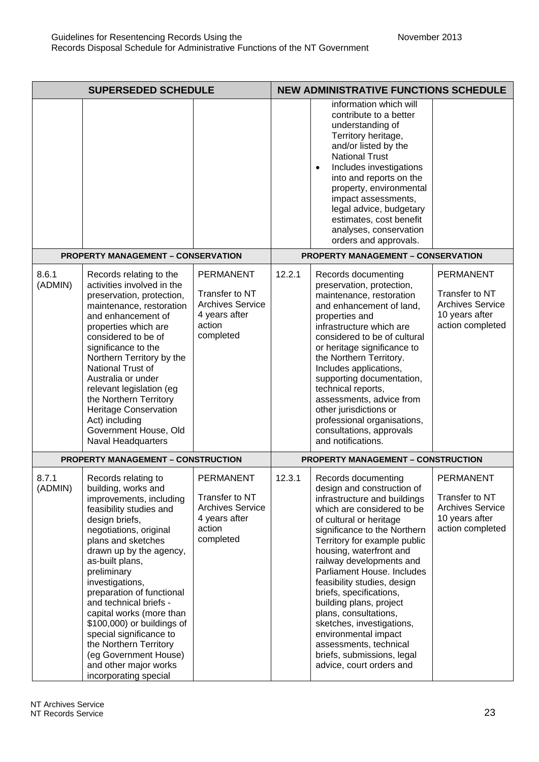| <b>SUPERSEDED SCHEDULE</b> |                                                                                                                                                                                                                                                                                                                                                                                                                                                                                                     | <b>NEW ADMINISTRATIVE FUNCTIONS SCHEDULE</b>                                                          |                                           |                                                                                                                                                                                                                                                                                                                                                                                                                                                                                                                                                        |                                                                                                     |
|----------------------------|-----------------------------------------------------------------------------------------------------------------------------------------------------------------------------------------------------------------------------------------------------------------------------------------------------------------------------------------------------------------------------------------------------------------------------------------------------------------------------------------------------|-------------------------------------------------------------------------------------------------------|-------------------------------------------|--------------------------------------------------------------------------------------------------------------------------------------------------------------------------------------------------------------------------------------------------------------------------------------------------------------------------------------------------------------------------------------------------------------------------------------------------------------------------------------------------------------------------------------------------------|-----------------------------------------------------------------------------------------------------|
|                            | <b>PROPERTY MANAGEMENT - CONSERVATION</b>                                                                                                                                                                                                                                                                                                                                                                                                                                                           |                                                                                                       |                                           | information which will<br>contribute to a better<br>understanding of<br>Territory heritage,<br>and/or listed by the<br><b>National Trust</b><br>Includes investigations<br>$\bullet$<br>into and reports on the<br>property, environmental<br>impact assessments,<br>legal advice, budgetary<br>estimates, cost benefit<br>analyses, conservation<br>orders and approvals.<br><b>PROPERTY MANAGEMENT - CONSERVATION</b>                                                                                                                                |                                                                                                     |
| 8.6.1                      | Records relating to the                                                                                                                                                                                                                                                                                                                                                                                                                                                                             | <b>PERMANENT</b>                                                                                      | 12.2.1                                    | Records documenting                                                                                                                                                                                                                                                                                                                                                                                                                                                                                                                                    | <b>PERMANENT</b>                                                                                    |
| (ADMIN)                    | activities involved in the<br>preservation, protection,<br>maintenance, restoration<br>and enhancement of<br>properties which are<br>considered to be of<br>significance to the<br>Northern Territory by the<br>National Trust of<br>Australia or under<br>relevant legislation (eg<br>the Northern Territory<br><b>Heritage Conservation</b><br>Act) including<br>Government House, Old<br>Naval Headquarters                                                                                      | Transfer to NT<br><b>Archives Service</b><br>4 years after<br>action<br>completed                     |                                           | preservation, protection,<br>maintenance, restoration<br>and enhancement of land,<br>properties and<br>infrastructure which are<br>considered to be of cultural<br>or heritage significance to<br>the Northern Territory.<br>Includes applications,<br>supporting documentation,<br>technical reports,<br>assessments, advice from<br>other jurisdictions or<br>professional organisations,<br>consultations, approvals<br>and notifications.                                                                                                          | Transfer to NT<br><b>Archives Service</b><br>10 years after<br>action completed                     |
|                            | <b>PROPERTY MANAGEMENT - CONSTRUCTION</b>                                                                                                                                                                                                                                                                                                                                                                                                                                                           |                                                                                                       | <b>PROPERTY MANAGEMENT - CONSTRUCTION</b> |                                                                                                                                                                                                                                                                                                                                                                                                                                                                                                                                                        |                                                                                                     |
| 8.7.1<br>(ADMIN)           | Records relating to<br>building, works and<br>improvements, including<br>feasibility studies and<br>design briefs,<br>negotiations, original<br>plans and sketches<br>drawn up by the agency,<br>as-built plans,<br>preliminary<br>investigations,<br>preparation of functional<br>and technical briefs -<br>capital works (more than<br>\$100,000) or buildings of<br>special significance to<br>the Northern Territory<br>(eg Government House)<br>and other major works<br>incorporating special | <b>PERMANENT</b><br>Transfer to NT<br><b>Archives Service</b><br>4 years after<br>action<br>completed | 12.3.1                                    | Records documenting<br>design and construction of<br>infrastructure and buildings<br>which are considered to be<br>of cultural or heritage<br>significance to the Northern<br>Territory for example public<br>housing, waterfront and<br>railway developments and<br>Parliament House. Includes<br>feasibility studies, design<br>briefs, specifications,<br>building plans, project<br>plans, consultations,<br>sketches, investigations,<br>environmental impact<br>assessments, technical<br>briefs, submissions, legal<br>advice, court orders and | <b>PERMANENT</b><br>Transfer to NT<br><b>Archives Service</b><br>10 years after<br>action completed |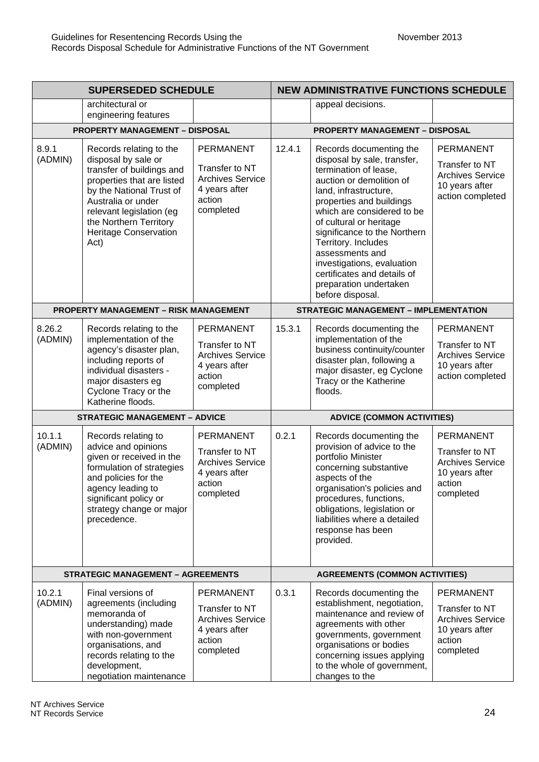| <b>SUPERSEDED SCHEDULE</b> |                                                                                                                                                                                                                                                           | <b>NEW ADMINISTRATIVE FUNCTIONS SCHEDULE</b>                                                          |                                   |                                                                                                                                                                                                                                                                                                                                                                                                                |                                                                                                        |
|----------------------------|-----------------------------------------------------------------------------------------------------------------------------------------------------------------------------------------------------------------------------------------------------------|-------------------------------------------------------------------------------------------------------|-----------------------------------|----------------------------------------------------------------------------------------------------------------------------------------------------------------------------------------------------------------------------------------------------------------------------------------------------------------------------------------------------------------------------------------------------------------|--------------------------------------------------------------------------------------------------------|
|                            | architectural or<br>engineering features                                                                                                                                                                                                                  |                                                                                                       |                                   | appeal decisions.                                                                                                                                                                                                                                                                                                                                                                                              |                                                                                                        |
|                            | <b>PROPERTY MANAGEMENT - DISPOSAL</b>                                                                                                                                                                                                                     |                                                                                                       |                                   | <b>PROPERTY MANAGEMENT - DISPOSAL</b>                                                                                                                                                                                                                                                                                                                                                                          |                                                                                                        |
| 8.9.1<br>(ADMIN)           | Records relating to the<br>disposal by sale or<br>transfer of buildings and<br>properties that are listed<br>by the National Trust of<br>Australia or under<br>relevant legislation (eg<br>the Northern Territory<br><b>Heritage Conservation</b><br>Act) | <b>PERMANENT</b><br>Transfer to NT<br><b>Archives Service</b><br>4 years after<br>action<br>completed | 12.4.1                            | Records documenting the<br>disposal by sale, transfer,<br>termination of lease,<br>auction or demolition of<br>land, infrastructure,<br>properties and buildings<br>which are considered to be<br>of cultural or heritage<br>significance to the Northern<br>Territory. Includes<br>assessments and<br>investigations, evaluation<br>certificates and details of<br>preparation undertaken<br>before disposal. | <b>PERMANENT</b><br>Transfer to NT<br><b>Archives Service</b><br>10 years after<br>action completed    |
|                            | <b>PROPERTY MANAGEMENT - RISK MANAGEMENT</b>                                                                                                                                                                                                              |                                                                                                       |                                   | <b>STRATEGIC MANAGEMENT - IMPLEMENTATION</b>                                                                                                                                                                                                                                                                                                                                                                   |                                                                                                        |
| 8.26.2<br>(ADMIN)          | Records relating to the<br>implementation of the<br>agency's disaster plan,<br>including reports of<br>individual disasters -<br>major disasters eg<br>Cyclone Tracy or the<br>Katherine floods.                                                          | <b>PERMANENT</b><br>Transfer to NT<br><b>Archives Service</b><br>4 years after<br>action<br>completed | 15.3.1                            | Records documenting the<br>implementation of the<br>business continuity/counter<br>disaster plan, following a<br>major disaster, eg Cyclone<br>Tracy or the Katherine<br>floods.                                                                                                                                                                                                                               | <b>PERMANENT</b><br>Transfer to NT<br><b>Archives Service</b><br>10 years after<br>action completed    |
|                            | <b>STRATEGIC MANAGEMENT - ADVICE</b>                                                                                                                                                                                                                      |                                                                                                       | <b>ADVICE (COMMON ACTIVITIES)</b> |                                                                                                                                                                                                                                                                                                                                                                                                                |                                                                                                        |
| 10.1.1<br>(ADMIN)          | Records relating to<br>advice and opinions<br>given or received in the<br>formulation of strategies<br>and policies for the<br>agency leading to<br>significant policy or<br>strategy change or major<br>precedence.                                      | <b>PERMANENT</b><br>Transfer to NT<br><b>Archives Service</b><br>4 years after<br>action<br>completed | 0.2.1                             | Records documenting the<br>provision of advice to the<br>portfolio Minister<br>concerning substantive<br>aspects of the<br>organisation's policies and<br>procedures, functions,<br>obligations, legislation or<br>liabilities where a detailed<br>response has been<br>provided.                                                                                                                              | <b>PERMANENT</b><br>Transfer to NT<br><b>Archives Service</b><br>10 years after<br>action<br>completed |
|                            | <b>STRATEGIC MANAGEMENT - AGREEMENTS</b>                                                                                                                                                                                                                  |                                                                                                       |                                   | <b>AGREEMENTS (COMMON ACTIVITIES)</b>                                                                                                                                                                                                                                                                                                                                                                          |                                                                                                        |
| 10.2.1<br>(ADMIN)          | Final versions of<br>agreements (including<br>memoranda of<br>understanding) made<br>with non-government<br>organisations, and<br>records relating to the<br>development,<br>negotiation maintenance                                                      | <b>PERMANENT</b><br>Transfer to NT<br><b>Archives Service</b><br>4 years after<br>action<br>completed | 0.3.1                             | Records documenting the<br>establishment, negotiation,<br>maintenance and review of<br>agreements with other<br>governments, government<br>organisations or bodies<br>concerning issues applying<br>to the whole of government,<br>changes to the                                                                                                                                                              | PERMANENT<br>Transfer to NT<br>Archives Service<br>10 years after<br>action<br>completed               |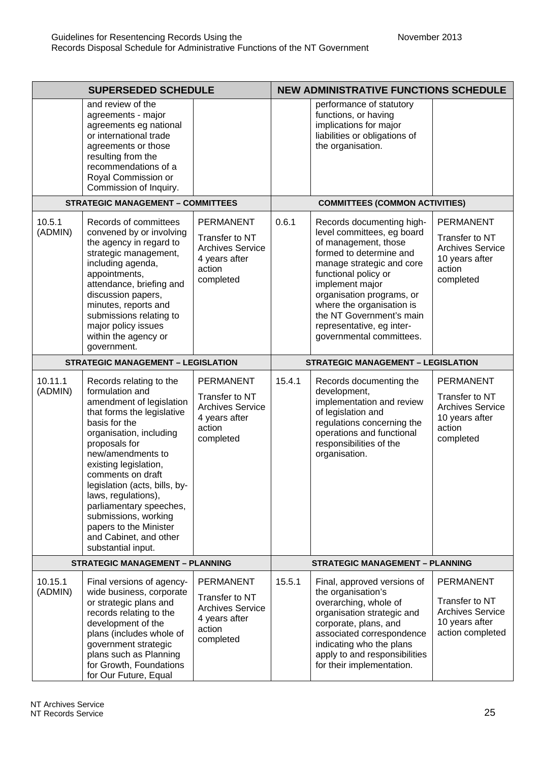| <b>SUPERSEDED SCHEDULE</b>                |                                                                                                                                                                                                                                                                                                                                                                                                                           | <b>NEW ADMINISTRATIVE FUNCTIONS SCHEDULE</b>                                                          |                                        |                                                                                                                                                                                                                                                                                                                                   |                                                                                                        |
|-------------------------------------------|---------------------------------------------------------------------------------------------------------------------------------------------------------------------------------------------------------------------------------------------------------------------------------------------------------------------------------------------------------------------------------------------------------------------------|-------------------------------------------------------------------------------------------------------|----------------------------------------|-----------------------------------------------------------------------------------------------------------------------------------------------------------------------------------------------------------------------------------------------------------------------------------------------------------------------------------|--------------------------------------------------------------------------------------------------------|
|                                           | and review of the<br>agreements - major<br>agreements eg national<br>or international trade<br>agreements or those<br>resulting from the<br>recommendations of a<br>Royal Commission or<br>Commission of Inquiry.                                                                                                                                                                                                         |                                                                                                       |                                        | performance of statutory<br>functions, or having<br>implications for major<br>liabilities or obligations of<br>the organisation.                                                                                                                                                                                                  |                                                                                                        |
|                                           | <b>STRATEGIC MANAGEMENT - COMMITTEES</b>                                                                                                                                                                                                                                                                                                                                                                                  |                                                                                                       | <b>COMMITTEES (COMMON ACTIVITIES)</b>  |                                                                                                                                                                                                                                                                                                                                   |                                                                                                        |
| 10.5.1<br>(ADMIN)                         | Records of committees<br>convened by or involving<br>the agency in regard to<br>strategic management,<br>including agenda,<br>appointments,<br>attendance, briefing and<br>discussion papers,<br>minutes, reports and<br>submissions relating to<br>major policy issues<br>within the agency or<br>government.                                                                                                            | <b>PERMANENT</b><br>Transfer to NT<br><b>Archives Service</b><br>4 years after<br>action<br>completed | 0.6.1                                  | Records documenting high-<br>level committees, eg board<br>of management, those<br>formed to determine and<br>manage strategic and core<br>functional policy or<br>implement major<br>organisation programs, or<br>where the organisation is<br>the NT Government's main<br>representative, eg inter-<br>governmental committees. | <b>PERMANENT</b><br>Transfer to NT<br><b>Archives Service</b><br>10 years after<br>action<br>completed |
| <b>STRATEGIC MANAGEMENT - LEGISLATION</b> |                                                                                                                                                                                                                                                                                                                                                                                                                           | <b>STRATEGIC MANAGEMENT - LEGISLATION</b>                                                             |                                        |                                                                                                                                                                                                                                                                                                                                   |                                                                                                        |
| 10.11.1<br>(ADMIN)                        | Records relating to the<br>formulation and<br>amendment of legislation<br>that forms the legislative<br>basis for the<br>organisation, including<br>proposals for<br>new/amendments to<br>existing legislation,<br>comments on draft<br>legislation (acts, bills, by-<br>laws, regulations),<br>parliamentary speeches,<br>submissions, working<br>papers to the Minister<br>and Cabinet, and other<br>substantial input. | <b>PERMANENT</b><br>Transfer to NT<br><b>Archives Service</b><br>4 years after<br>action<br>completed | 15.4.1                                 | Records documenting the<br>development,<br>implementation and review<br>of legislation and<br>regulations concerning the<br>operations and functional<br>responsibilities of the<br>organisation.                                                                                                                                 | <b>PERMANENT</b><br>Transfer to NT<br><b>Archives Service</b><br>10 years after<br>action<br>completed |
| <b>STRATEGIC MANAGEMENT - PLANNING</b>    |                                                                                                                                                                                                                                                                                                                                                                                                                           |                                                                                                       | <b>STRATEGIC MANAGEMENT - PLANNING</b> |                                                                                                                                                                                                                                                                                                                                   |                                                                                                        |
| 10.15.1<br>(ADMIN)                        | Final versions of agency-<br>wide business, corporate<br>or strategic plans and<br>records relating to the<br>development of the<br>plans (includes whole of<br>government strategic<br>plans such as Planning<br>for Growth, Foundations<br>for Our Future, Equal                                                                                                                                                        | <b>PERMANENT</b><br>Transfer to NT<br><b>Archives Service</b><br>4 years after<br>action<br>completed | 15.5.1                                 | Final, approved versions of<br>the organisation's<br>overarching, whole of<br>organisation strategic and<br>corporate, plans, and<br>associated correspondence<br>indicating who the plans<br>apply to and responsibilities<br>for their implementation.                                                                          | <b>PERMANENT</b><br>Transfer to NT<br><b>Archives Service</b><br>10 years after<br>action completed    |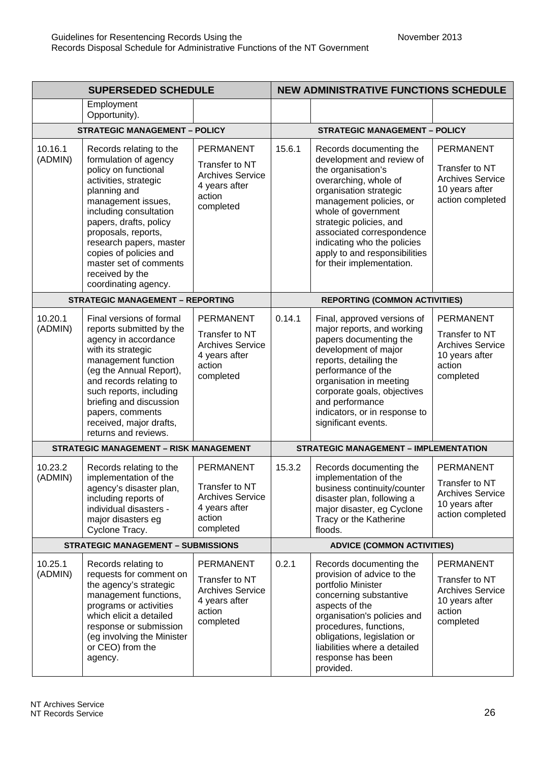| <b>SUPERSEDED SCHEDULE</b>                |                                                                                                                                                                                                                                                                                                                                              | <b>NEW ADMINISTRATIVE FUNCTIONS SCHEDULE</b>                                                          |                                              |                                                                                                                                                                                                                                                                                                                                      |                                                                                                        |
|-------------------------------------------|----------------------------------------------------------------------------------------------------------------------------------------------------------------------------------------------------------------------------------------------------------------------------------------------------------------------------------------------|-------------------------------------------------------------------------------------------------------|----------------------------------------------|--------------------------------------------------------------------------------------------------------------------------------------------------------------------------------------------------------------------------------------------------------------------------------------------------------------------------------------|--------------------------------------------------------------------------------------------------------|
|                                           | Employment<br>Opportunity).                                                                                                                                                                                                                                                                                                                  |                                                                                                       |                                              |                                                                                                                                                                                                                                                                                                                                      |                                                                                                        |
| <b>STRATEGIC MANAGEMENT - POLICY</b>      |                                                                                                                                                                                                                                                                                                                                              |                                                                                                       | <b>STRATEGIC MANAGEMENT - POLICY</b>         |                                                                                                                                                                                                                                                                                                                                      |                                                                                                        |
| 10.16.1<br>(ADMIN)                        | Records relating to the<br>formulation of agency<br>policy on functional<br>activities, strategic<br>planning and<br>management issues,<br>including consultation<br>papers, drafts, policy<br>proposals, reports,<br>research papers, master<br>copies of policies and<br>master set of comments<br>received by the<br>coordinating agency. | <b>PERMANENT</b><br>Transfer to NT<br><b>Archives Service</b><br>4 years after<br>action<br>completed | 15.6.1                                       | Records documenting the<br>development and review of<br>the organisation's<br>overarching, whole of<br>organisation strategic<br>management policies, or<br>whole of government<br>strategic policies, and<br>associated correspondence<br>indicating who the policies<br>apply to and responsibilities<br>for their implementation. | <b>PERMANENT</b><br>Transfer to NT<br><b>Archives Service</b><br>10 years after<br>action completed    |
| <b>STRATEGIC MANAGEMENT - REPORTING</b>   |                                                                                                                                                                                                                                                                                                                                              | <b>REPORTING (COMMON ACTIVITIES)</b>                                                                  |                                              |                                                                                                                                                                                                                                                                                                                                      |                                                                                                        |
| 10.20.1<br>(ADMIN)                        | Final versions of formal<br>reports submitted by the<br>agency in accordance<br>with its strategic<br>management function<br>(eg the Annual Report),<br>and records relating to<br>such reports, including<br>briefing and discussion<br>papers, comments<br>received, major drafts,<br>returns and reviews.                                 | <b>PERMANENT</b><br>Transfer to NT<br><b>Archives Service</b><br>4 years after<br>action<br>completed | 0.14.1                                       | Final, approved versions of<br>major reports, and working<br>papers documenting the<br>development of major<br>reports, detailing the<br>performance of the<br>organisation in meeting<br>corporate goals, objectives<br>and performance<br>indicators, or in response to<br>significant events.                                     | <b>PERMANENT</b><br>Transfer to NT<br><b>Archives Service</b><br>10 years after<br>action<br>completed |
|                                           | <b>STRATEGIC MANAGEMENT - RISK MANAGEMENT</b>                                                                                                                                                                                                                                                                                                |                                                                                                       | <b>STRATEGIC MANAGEMENT - IMPLEMENTATION</b> |                                                                                                                                                                                                                                                                                                                                      |                                                                                                        |
| 10.23.2<br>(ADMIN)                        | Records relating to the<br>implementation of the<br>agency's disaster plan,<br>including reports of<br>individual disasters -<br>major disasters eg<br>Cyclone Tracy.                                                                                                                                                                        | <b>PERMANENT</b><br>Transfer to NT<br><b>Archives Service</b><br>4 years after<br>action<br>completed | 15.3.2                                       | Records documenting the<br>implementation of the<br>business continuity/counter<br>disaster plan, following a<br>major disaster, eg Cyclone<br>Tracy or the Katherine<br>floods.                                                                                                                                                     | <b>PERMANENT</b><br>Transfer to NT<br><b>Archives Service</b><br>10 years after<br>action completed    |
| <b>STRATEGIC MANAGEMENT - SUBMISSIONS</b> |                                                                                                                                                                                                                                                                                                                                              | <b>ADVICE (COMMON ACTIVITIES)</b>                                                                     |                                              |                                                                                                                                                                                                                                                                                                                                      |                                                                                                        |
| 10.25.1<br>(ADMIN)                        | Records relating to<br>requests for comment on<br>the agency's strategic<br>management functions,<br>programs or activities<br>which elicit a detailed<br>response or submission<br>(eg involving the Minister<br>or CEO) from the<br>agency.                                                                                                | <b>PERMANENT</b><br>Transfer to NT<br><b>Archives Service</b><br>4 years after<br>action<br>completed | 0.2.1                                        | Records documenting the<br>provision of advice to the<br>portfolio Minister<br>concerning substantive<br>aspects of the<br>organisation's policies and<br>procedures, functions,<br>obligations, legislation or<br>liabilities where a detailed<br>response has been<br>provided.                                                    | PERMANENT<br>Transfer to NT<br><b>Archives Service</b><br>10 years after<br>action<br>completed        |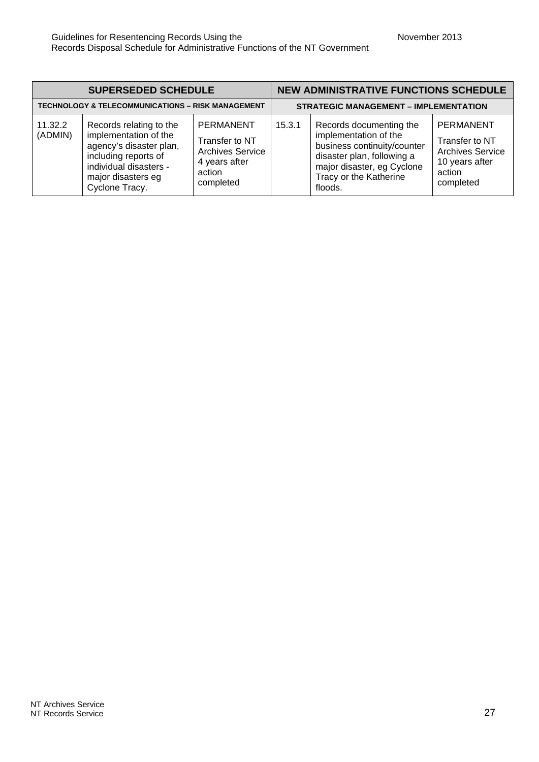| <b>SUPERSEDED SCHEDULE</b>                                   |                                                                                                                                                                       |                                                                                                       |                                              | <b>NEW ADMINISTRATIVE FUNCTIONS SCHEDULE</b>                                                                                                                                     |                                                                                                 |
|--------------------------------------------------------------|-----------------------------------------------------------------------------------------------------------------------------------------------------------------------|-------------------------------------------------------------------------------------------------------|----------------------------------------------|----------------------------------------------------------------------------------------------------------------------------------------------------------------------------------|-------------------------------------------------------------------------------------------------|
| <b>TECHNOLOGY &amp; TELECOMMUNICATIONS - RISK MANAGEMENT</b> |                                                                                                                                                                       |                                                                                                       | <b>STRATEGIC MANAGEMENT - IMPLEMENTATION</b> |                                                                                                                                                                                  |                                                                                                 |
| 11.32.2<br>(ADMIN)                                           | Records relating to the<br>implementation of the<br>agency's disaster plan,<br>including reports of<br>individual disasters -<br>major disasters eg<br>Cyclone Tracy. | <b>PERMANENT</b><br>Transfer to NT<br><b>Archives Service</b><br>4 years after<br>action<br>completed | 15.3.1                                       | Records documenting the<br>implementation of the<br>business continuity/counter<br>disaster plan, following a<br>major disaster, eg Cyclone<br>Tracy or the Katherine<br>floods. | PERMANENT<br>Transfer to NT<br><b>Archives Service</b><br>10 years after<br>action<br>completed |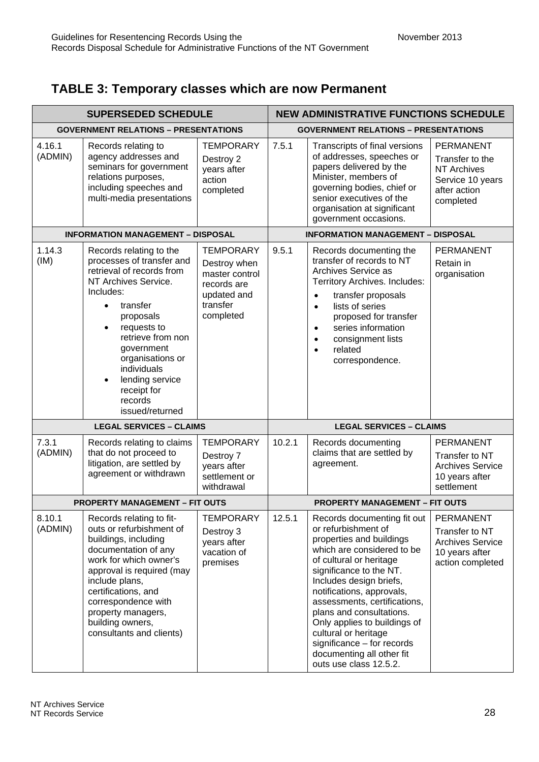## **TABLE 3: Temporary classes which are now Permanent**

| <b>SUPERSEDED SCHEDULE</b>                  |                                                                                                                                                                                                                                                                                                                                             | <b>NEW ADMINISTRATIVE FUNCTIONS SCHEDULE</b>                                                              |                                             |                                                                                                                                                                                                                                                                                                                                                                                                                                     |                                                                                                            |
|---------------------------------------------|---------------------------------------------------------------------------------------------------------------------------------------------------------------------------------------------------------------------------------------------------------------------------------------------------------------------------------------------|-----------------------------------------------------------------------------------------------------------|---------------------------------------------|-------------------------------------------------------------------------------------------------------------------------------------------------------------------------------------------------------------------------------------------------------------------------------------------------------------------------------------------------------------------------------------------------------------------------------------|------------------------------------------------------------------------------------------------------------|
| <b>GOVERNMENT RELATIONS - PRESENTATIONS</b> |                                                                                                                                                                                                                                                                                                                                             |                                                                                                           | <b>GOVERNMENT RELATIONS - PRESENTATIONS</b> |                                                                                                                                                                                                                                                                                                                                                                                                                                     |                                                                                                            |
| 4.16.1<br>(ADMIN)                           | Records relating to<br>agency addresses and<br>seminars for government<br>relations purposes,<br>including speeches and<br>multi-media presentations                                                                                                                                                                                        | <b>TEMPORARY</b><br>Destroy 2<br>years after<br>action<br>completed                                       | 7.5.1                                       | Transcripts of final versions<br>of addresses, speeches or<br>papers delivered by the<br>Minister, members of<br>governing bodies, chief or<br>senior executives of the<br>organisation at significant<br>government occasions.                                                                                                                                                                                                     | <b>PERMANENT</b><br>Transfer to the<br><b>NT Archives</b><br>Service 10 years<br>after action<br>completed |
|                                             | <b>INFORMATION MANAGEMENT - DISPOSAL</b>                                                                                                                                                                                                                                                                                                    |                                                                                                           | <b>INFORMATION MANAGEMENT - DISPOSAL</b>    |                                                                                                                                                                                                                                                                                                                                                                                                                                     |                                                                                                            |
| 1.14.3<br>(IM)                              | Records relating to the<br>processes of transfer and<br>retrieval of records from<br>NT Archives Service.<br>Includes:<br>transfer<br>$\bullet$<br>proposals<br>requests to<br>$\bullet$<br>retrieve from non<br>government<br>organisations or<br>individuals<br>lending service<br>$\bullet$<br>receipt for<br>records<br>issued/returned | <b>TEMPORARY</b><br>Destroy when<br>master control<br>records are<br>updated and<br>transfer<br>completed | 9.5.1                                       | Records documenting the<br>transfer of records to NT<br>Archives Service as<br>Territory Archives. Includes:<br>transfer proposals<br>$\bullet$<br>lists of series<br>$\bullet$<br>proposed for transfer<br>series information<br>$\bullet$<br>consignment lists<br>$\bullet$<br>related<br>$\bullet$<br>correspondence.                                                                                                            | <b>PERMANENT</b><br>Retain in<br>organisation                                                              |
|                                             | <b>LEGAL SERVICES - CLAIMS</b>                                                                                                                                                                                                                                                                                                              |                                                                                                           | <b>LEGAL SERVICES - CLAIMS</b>              |                                                                                                                                                                                                                                                                                                                                                                                                                                     |                                                                                                            |
| 7.3.1<br>(ADMIN)                            | Records relating to claims<br>that do not proceed to<br>litigation, are settled by<br>agreement or withdrawn                                                                                                                                                                                                                                | <b>TEMPORARY</b><br>Destroy 7<br>years after<br>settlement or<br>withdrawal                               | 10.2.1                                      | Records documenting<br>claims that are settled by<br>agreement.                                                                                                                                                                                                                                                                                                                                                                     | <b>PERMANENT</b><br>Transfer to NT<br><b>Archives Service</b><br>10 years after<br>settlement              |
| <b>PROPERTY MANAGEMENT - FIT OUTS</b>       |                                                                                                                                                                                                                                                                                                                                             | <b>PROPERTY MANAGEMENT - FIT OUTS</b>                                                                     |                                             |                                                                                                                                                                                                                                                                                                                                                                                                                                     |                                                                                                            |
| 8.10.1<br>(ADMIN)                           | Records relating to fit-<br>outs or refurbishment of<br>buildings, including<br>documentation of any<br>work for which owner's<br>approval is required (may<br>include plans,<br>certifications, and<br>correspondence with<br>property managers,<br>building owners,<br>consultants and clients)                                           | <b>TEMPORARY</b><br>Destroy 3<br>years after<br>vacation of<br>premises                                   | 12.5.1                                      | Records documenting fit out<br>or refurbishment of<br>properties and buildings<br>which are considered to be<br>of cultural or heritage<br>significance to the NT.<br>Includes design briefs,<br>notifications, approvals,<br>assessments, certifications,<br>plans and consultations.<br>Only applies to buildings of<br>cultural or heritage<br>significance - for records<br>documenting all other fit<br>outs use class 12.5.2. | <b>PERMANENT</b><br>Transfer to NT<br><b>Archives Service</b><br>10 years after<br>action completed        |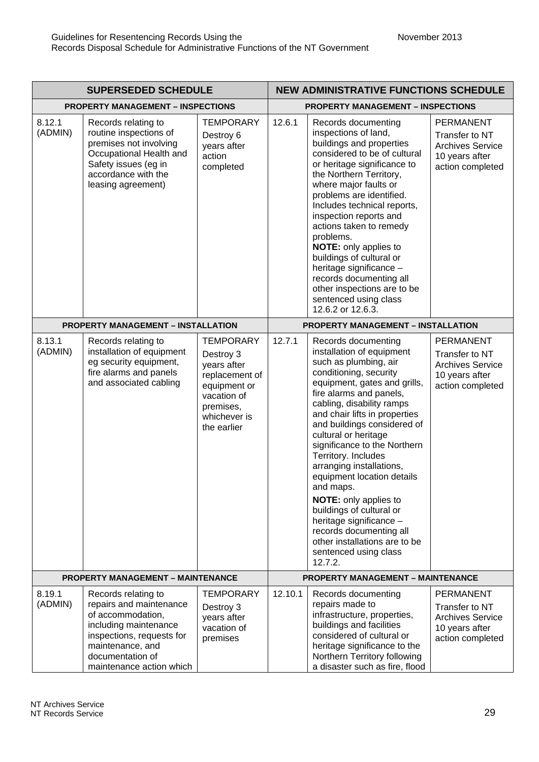| <b>SUPERSEDED SCHEDULE</b>                |                                                                                                                                                                                               | <b>NEW ADMINISTRATIVE FUNCTIONS SCHEDULE</b>                                                                                              |         |                                                                                                                                                                                                                                                                                                                                                                                                                                                                                                                                                                                                          |                                                                                                     |
|-------------------------------------------|-----------------------------------------------------------------------------------------------------------------------------------------------------------------------------------------------|-------------------------------------------------------------------------------------------------------------------------------------------|---------|----------------------------------------------------------------------------------------------------------------------------------------------------------------------------------------------------------------------------------------------------------------------------------------------------------------------------------------------------------------------------------------------------------------------------------------------------------------------------------------------------------------------------------------------------------------------------------------------------------|-----------------------------------------------------------------------------------------------------|
| <b>PROPERTY MANAGEMENT - INSPECTIONS</b>  |                                                                                                                                                                                               | <b>PROPERTY MANAGEMENT - INSPECTIONS</b>                                                                                                  |         |                                                                                                                                                                                                                                                                                                                                                                                                                                                                                                                                                                                                          |                                                                                                     |
| 8.12.1<br>(ADMIN)                         | Records relating to<br>routine inspections of<br>premises not involving<br>Occupational Health and<br>Safety issues (eg in<br>accordance with the<br>leasing agreement)                       | <b>TEMPORARY</b><br>Destroy 6<br>years after<br>action<br>completed                                                                       | 12.6.1  | Records documenting<br>inspections of land,<br>buildings and properties<br>considered to be of cultural<br>or heritage significance to<br>the Northern Territory,<br>where major faults or<br>problems are identified.<br>Includes technical reports,<br>inspection reports and<br>actions taken to remedy<br>problems.<br>NOTE: only applies to<br>buildings of cultural or<br>heritage significance -<br>records documenting all<br>other inspections are to be<br>sentenced using class<br>12.6.2 or 12.6.3.                                                                                          | <b>PERMANENT</b><br>Transfer to NT<br><b>Archives Service</b><br>10 years after<br>action completed |
| <b>PROPERTY MANAGEMENT - INSTALLATION</b> |                                                                                                                                                                                               | <b>PROPERTY MANAGEMENT - INSTALLATION</b>                                                                                                 |         |                                                                                                                                                                                                                                                                                                                                                                                                                                                                                                                                                                                                          |                                                                                                     |
| 8.13.1<br>(ADMIN)                         | Records relating to<br>installation of equipment<br>eg security equipment,<br>fire alarms and panels<br>and associated cabling                                                                | <b>TEMPORARY</b><br>Destroy 3<br>years after<br>replacement of<br>equipment or<br>vacation of<br>premises,<br>whichever is<br>the earlier | 12.7.1  | Records documenting<br>installation of equipment<br>such as plumbing, air<br>conditioning, security<br>equipment, gates and grills,<br>fire alarms and panels,<br>cabling, disability ramps<br>and chair lifts in properties<br>and buildings considered of<br>cultural or heritage<br>significance to the Northern<br>Territory. Includes<br>arranging installations,<br>equipment location details<br>and maps.<br><b>NOTE:</b> only applies to<br>buildings of cultural or<br>heritage significance -<br>records documenting all<br>other installations are to be<br>sentenced using class<br>12.7.2. | PERMANENT<br>Transfer to NT<br><b>Archives Service</b><br>10 years after<br>action completed        |
| <b>PROPERTY MANAGEMENT - MAINTENANCE</b>  |                                                                                                                                                                                               | <b>PROPERTY MANAGEMENT - MAINTENANCE</b>                                                                                                  |         |                                                                                                                                                                                                                                                                                                                                                                                                                                                                                                                                                                                                          |                                                                                                     |
| 8.19.1<br>(ADMIN)                         | Records relating to<br>repairs and maintenance<br>of accommodation,<br>including maintenance<br>inspections, requests for<br>maintenance, and<br>documentation of<br>maintenance action which | <b>TEMPORARY</b><br>Destroy 3<br>years after<br>vacation of<br>premises                                                                   | 12.10.1 | Records documenting<br>repairs made to<br>infrastructure, properties,<br>buildings and facilities<br>considered of cultural or<br>heritage significance to the<br>Northern Territory following<br>a disaster such as fire, flood                                                                                                                                                                                                                                                                                                                                                                         | <b>PERMANENT</b><br>Transfer to NT<br><b>Archives Service</b><br>10 years after<br>action completed |